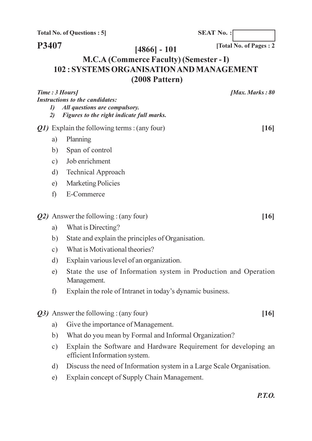**Total No. of Questions: 5]** 

#### **SEAT No.:**

 $\boxed{\text{Total No. of Pages : 2}}$ 

# P3407

# $[4866] - 101$

# M.C.A (Commerce Faculty) (Semester - I) 102 : SYSTEMS ORGANISATION AND MANAGEMENT  $(2008$  Pattern)

| $\mathbf{I}$<br>2) | Time: 3 Hours]<br><b>Instructions to the candidates:</b><br>All questions are compulsory.<br>Figures to the right indicate full marks. | [Max. Marks: $80$             |
|--------------------|----------------------------------------------------------------------------------------------------------------------------------------|-------------------------------|
|                    | $Q1$ ) Explain the following terms : (any four)                                                                                        | $[16]$                        |
| a)                 | Planning                                                                                                                               |                               |
| b)                 | Span of control                                                                                                                        |                               |
| $\circ$ )          | Job enrichment                                                                                                                         |                               |
| d)                 | <b>Technical Approach</b>                                                                                                              |                               |
| e)                 | <b>Marketing Policies</b>                                                                                                              |                               |
| f)                 | E-Commerce                                                                                                                             |                               |
|                    | <b>Q2)</b> Answer the following : (any four)                                                                                           | [16]                          |
| a)                 | What is Directing?                                                                                                                     |                               |
| b)                 | State and explain the principles of Organisation.                                                                                      |                               |
| $\mathbf{c})$      | What is Motivational theories?                                                                                                         |                               |
| $\mathbf{d}$       | Explain various level of an organization.                                                                                              |                               |
| e)                 | State the use of Information system in Production and Operation<br>Management.                                                         |                               |
| f)                 | Explain the role of Intranet in today's dynamic business.                                                                              |                               |
|                    | <b>Q3)</b> Answer the following : (any four)                                                                                           | [16]                          |
| a)                 | Give the importance of Management.                                                                                                     |                               |
| b)                 | What do you mean by Formal and Informal Organization?                                                                                  |                               |
| $\mathbf{c})$      | Explain the Software and Hardware Requirement for developing an<br>efficient Information system.                                       |                               |
| $\mathbf{d}$       | Discuss the need of Information system in a Large Scale Organisation.                                                                  |                               |
| e)                 | Explain concept of Supply Chain Management.                                                                                            |                               |
|                    |                                                                                                                                        | $\bm{p}\bm{\tau}\bm{\Lambda}$ |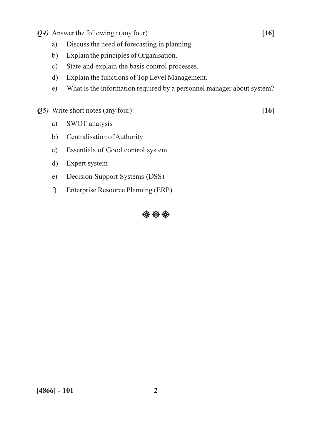- Q4) Answer the following: (any four)
	- Discuss the need of forecasting in planning. a)
	- Explain the principles of Organisation.  $b)$
	- State and explain the basis control processes.  $c)$
	- $\mathbf{d}$ Explain the functions of Top Level Management.
	- What is the information required by a personnel manager about system?  $e)$

Q5) Write short notes (any four):

 $[16]$ 

 $[16]$ 

- SWOT analysis a)
- Centralisation of Authority  $b)$
- Essentials of Good control system  $c)$
- $d)$ Expert system
- Decision Support Systems (DSS)  $e)$
- Enterprise Resource Planning (ERP)  $f$ )

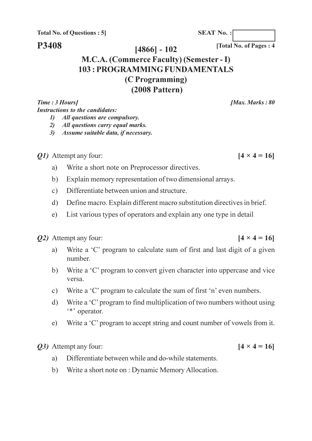**Total No. of Questions: 5]** 

**P3408** 

 $[4866] - 102$ 

# M.C.A. (Commerce Faculty) (Semester - I) **103 : PROGRAMMING FUNDAMENTALS** (C Programming)  $(2008$  Pattern)

Time: 3 Hours] **Instructions to the candidates:** 

- 1) All questions are compulsory.
- 2) All questions carry equal marks.
- 3) Assume suitable data, if necessary.

#### *Q1*) Attempt any four:

- Write a short note on Preprocessor directives. a)
- Explain memory representation of two dimensional arrays.  $b)$
- Differentiate between union and structure.  $c)$
- Define macro. Explain different macro substitution directives in brief.  $\mathbf{d}$
- List various types of operators and explain any one type in detail  $e)$

#### *Q2*) Attempt any four:

- Write a 'C' program to calculate sum of first and last digit of a given a) number.
- Write a 'C' program to convert given character into uppercase and vice b) versa
- Write a 'C' program to calculate the sum of first 'n' even numbers.  $c)$
- Write a 'C' program to find multiplication of two numbers without using d) "\*" operator.
- Write a 'C' program to accept string and count number of vowels from it.  $e)$

*O3*) Attempt any four:

- Differentiate between while and do-while statements.  $a)$
- Write a short note on : Dynamic Memory Allocation.  $b)$

 $[4 \times 4 = 16]$ 

[Max. Marks: 80]

 $[4 \times 4 = 16]$ 

 $[4 \times 4 = 16]$ 

**SEAT No.:** 

[Total No. of Pages: 4]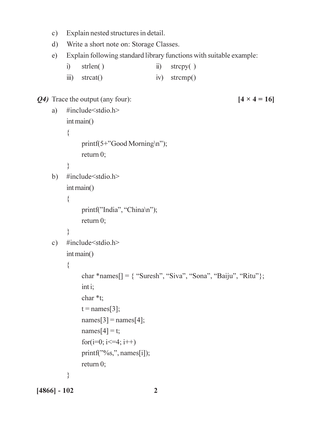- Explain nested structures in detail.  $c)$
- Write a short note on: Storage Classes.  $d)$
- Explain following standard library functions with suitable example:  $e)$

 $[4 \times 4 = 16]$ 

- $stropy()$  $i)$  $\text{strlen}()$  $\ddot{\textbf{i}}$
- $\dddot{\mathbf{u}}$  $\text{strcat}()$  $iv)$  strcmp()

#### Q4) Trace the output (any four):

 $[4866] - 102$ 

```
a)
     #include<stdio.h>
     int main()\{printf(5+"Good Morning\n");
           return 0;
     \left\{ \right.b) #include <stdio.h>
     int main()\{printf("India", "China\n");
           return 0;
     \mathcal{E}#include<stdio.h>
c)int main()\{char *names[] = \{ "Suresh", "Siva", "Sona", "Baiju", "Ritu"\};int i:
           char *t;
           t = names[3];
           names[3] = names[4];names[4] = t;for(i=0; i \le 4; i++)
           print(f''\%s,", names[i]);
           return 0:
     \left\{ \right.\overline{2}
```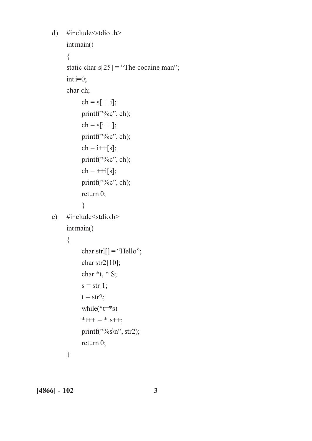```
#include<stdio.h>
d)int main()\{static char s[25] = "The cocaine man";
     int i=0;
     char ch;
          ch = s[++i];printf("%c", ch);
          ch = s[i++];printf("%c", ch);
          ch = i + |s|;
          printf("%c", ch);
          ch = ++i[s];printf("%c", ch);
          return 0;
          \left\{ \right.#include<stdio.h>
e)int main()\{char strl[] = "Hello";
          char str2[10];
          char *t, * S;
          s = str 1;t = str2;
          while(*t=*_s)*t++ = * s++;
          printf("%s\n", str2);
          return 0;
```
 $\}$ 

 $[4866] - 102$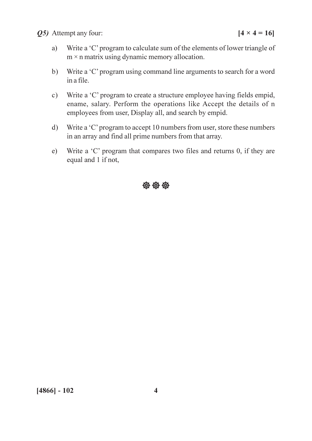Q5) Attempt any four:

- Write a 'C' program to calculate sum of the elements of lower triangle of a)  $m \times n$  matrix using dynamic memory allocation.
- Write a 'C' program using command line arguments to search for a word  $b)$ in a file.
- Write a 'C' program to create a structure employee having fields empid,  $c)$ ename, salary. Perform the operations like Accept the details of n employees from user, Display all, and search by empid.
- Write a 'C' program to accept 10 numbers from user, store these numbers  $\mathbf{d}$ in an array and find all prime numbers from that array.
- Write a 'C' program that compares two files and returns 0, if they are  $e)$ equal and 1 if not,

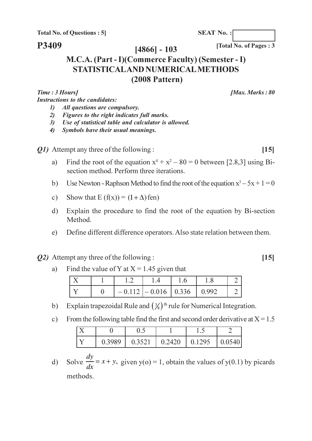**Total No. of Questions: 5]** 

P3409

 $[4866] - 103$ 

[Total No. of Pages: 3]

**SEAT No.:** 

# M.C.A. (Part - I)(Commerce Faculty) (Semester - I) **STATISTICALAND NUMERICAL METHODS**  $(2008$  Pattern)

Time: 3 Hours] **Instructions to the candidates:** 

> All questions are compulsory.  $\boldsymbol{\eta}$

- Figures to the right indicates full marks.  $2)$
- 3) Use of statistical table and calculator is allowed.
- Symbols have their usual meanings.  $\boldsymbol{\psi}$

*Q1*) Attempt any three of the following:

- Find the root of the equation  $x^4 + x^2 80 = 0$  between [2.8,3] using Bia) section method. Perform three iterations.
- Use Newton Raphson Method to find the root of the equation  $x^3 5x + 1 = 0$  $b)$
- Show that E  $(f(x)) = (1 + \Delta)$  fen)  $c)$
- Explain the procedure to find the root of the equation by Bi-section  $\mathbf{d}$ Method.
- Define different difference operators. Also state relation between them.  $e)$

*O2* Attempt any three of the following:

Find the value of Y at  $X = 1.45$  given that a)

|  | $-0.112$ $-0.016$   0.336 | $0.99$ <sup><math>\circ</math></sup> |  |
|--|---------------------------|--------------------------------------|--|

- Explain trapezoidal Rule and  $(\frac{3}{8})^{\text{th}}$  rule for Numerical Integration.  $b)$
- From the following table find the first and second order derivative at  $X = 1.5$  $c)$

|        |        |                | .       |        |
|--------|--------|----------------|---------|--------|
| 0.3989 | 0.3521 | $\big  0.2420$ | 10.1295 | 0.0540 |

d) Solve  $\frac{dy}{dx} = x + y$ , given y(o) = 1, obtain the values of y(0.1) by picards methods.

[Max. Marks: 80]

 $[15]$ 

 $[15]$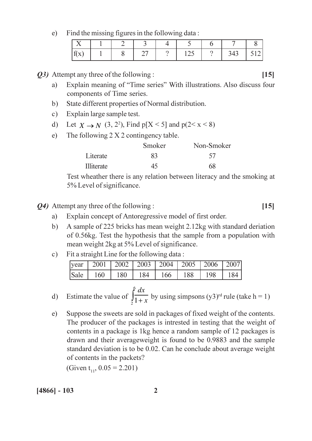e) Find the missing figures in the following data:

| $\sim$<br>$\mathbf{1} \mathbf{1} \mathbf{1} \mathbf{1}$ |  | $\overline{\phantom{a}}$ . | ⊥∠J | 343 |  |
|---------------------------------------------------------|--|----------------------------|-----|-----|--|

*Q3*) Attempt any three of the following :

- Explain meaning of "Time series" With illustrations. Also discuss four a) components of Time series.
- State different properties of Normal distribution. b)
- $c)$ Explain large sample test.
- Let  $X \rightarrow N$  (3, 2<sup>2</sup>), Find p[X < 5] and p(2 < x < 8)  $\mathbf{d}$
- The following  $2 \times 2$  contingency table.  $e)$

|            | Smoker | Non-Smoker |
|------------|--------|------------|
| Literate   | 83     | 57         |
| Illiterate | 45     | 68         |

Test wheather there is any relation between literacy and the smoking at 5% Level of significance.

*Q4*) Attempt any three of the following :

- a) Explain concept of Antoregressive model of first order.
- A sample of 225 bricks has mean weight 2.12kg with standard deriation  $b)$ of 0.56kg. Test the hypothesis that the sample from a population with mean weight 2kg at 5% Level of significance.
- $c)$ Fit a straight Line for the following data:

|  |  |  | $\sqrt{2001}$   2002   2003   2004   2005   2006   2007 |  |
|--|--|--|---------------------------------------------------------|--|
|  |  |  | Sale   160   180   184   166   188   198   184          |  |

Estimate the value of  $\int_{1+x}^{6} \frac{dx}{1+x}$  by using simpsons (y3)<sup>rd</sup> rule (take h = 1)  $d)$ 

Suppose the sweets are sold in packages of fixed weight of the contents.  $e)$ The producer of the packages is intrested in testing that the weight of contents in a package is 1kg hence a random sample of 12 packages is drawn and their averageweight is found to be 0.9883 and the sample standard deviation is to be 0.02. Can he conclude about average weight of contents in the packets?

(Given  $t_{11}$ , 0.05 = 2.201)

 $[15]$ 

 $[15]$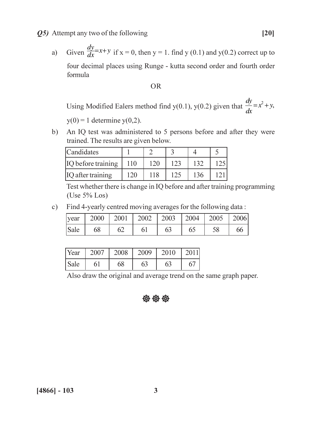- Q5) Attempt any two of the following
	- a) Given  $\frac{dy}{dx} = x + y$  if  $x = 0$ , then  $y = 1$ . find y (0.1) and y(0.2) correct up to

four decimal places using Runge - kutta second order and fourth order formula

#### **OR**

Using Modified Ealers method find y(0.1), y(0.2) given that  $\frac{dy}{dx} = x^2 + y$ ,

 $y(0) = 1$  determine  $y(0,2)$ .

An IQ test was administered to 5 persons before and after they were  $b)$ trained. The results are given below.

| <i>Candidates</i>  |     |     |     |     |  |
|--------------------|-----|-----|-----|-----|--|
| IQ before training |     |     |     |     |  |
| IQ after training  | 120 | 118 | 125 | 136 |  |

Test whether there is change in IQ before and after training programming (Use  $5\%$  Los)

Find 4-yearly centred moving averages for the following data:  $c)$ 

| year |    |  | 2000   2001   2002   2003   2004   2005   2006 |    |  |
|------|----|--|------------------------------------------------|----|--|
| Sale | 68 |  | 63                                             | 65 |  |

| Year | 2007 | 2008 | 2009 | 2010 | 2011           |
|------|------|------|------|------|----------------|
| Sale | 61   | 68   | 63   | 63   | 6 <sup>7</sup> |

Also draw the original and average trend on the same graph paper.

39-639-633

 $[4866] - 103$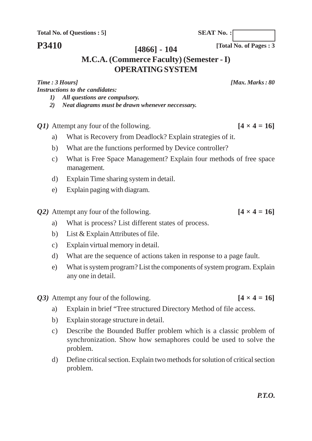Total No. of Questions : 5] SEAT No. :

**[Total No. of Pages : 3**

**[4866] - 104 M.C.A. (Commerce Faculty) (Semester - I)**

# **OPERATING SYSTEM**

*Time : 3 Hours] [Max. Marks : 80*

*Instructions to the candidates:*

- *1) All questions are compulsory.*
- *2) Neat diagrams must be drawn whenever neccessary.*

*Q1*) Attempt any four of the following. **[4**  $\times$  **4 = 16]** 

- a) What is Recovery from Deadlock? Explain strategies of it.
- b) What are the functions performed by Device controller?
- c) What is Free Space Management? Explain four methods of free space management.
- d) Explain Time sharing system in detail.
- e) Explain paging with diagram.
- *Q2*) Attempt any four of the following. **[4**  $\times$  **4 = 16]** 
	- a) What is process? List different states of process.
	- b) List & Explain Attributes of file.
	- c) Explain virtual memory in detail.
	- d) What are the sequence of actions taken in response to a page fault.
	- e) What is system program? List the components of system program. Explain any one in detail.
- *Q3*) Attempt any four of the following.  $[4 \times 4 = 16]$ 
	- a) Explain in brief "Tree structured Directory Method of file access.
	- b) Explain storage structure in detail.
	- c) Describe the Bounded Buffer problem which is a classic problem of synchronization. Show how semaphores could be used to solve the problem.
	- d) Define critical section. Explain two methods for solution of critical section problem.

**P3410**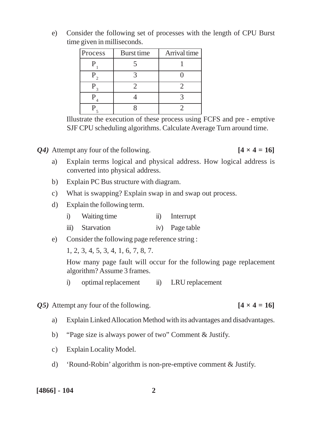e) Consider the following set of processes with the length of CPU Burst time given in milliseconds.

| Process | <b>Burst</b> time | Arrival time |
|---------|-------------------|--------------|
|         |                   |              |
|         |                   |              |
|         |                   |              |
|         |                   |              |
|         |                   |              |

Illustrate the execution of these process using FCFS and pre - emptive SJF CPU scheduling algorithms. Calculate Average Turn around time.

- *Q4*) Attempt any four of the following. **[4**  $\times$  **4 = 16]** 
	- a) Explain terms logical and physical address. How logical address is converted into physical address.
	- b) Explain PC Bus structure with diagram.
	- c) What is swapping? Explain swap in and swap out process.
	- d) Explain the following term.
		- i) Waiting time ii) Interrupt
		- iii) Starvation iv) Page table
	- e) Consider the following page reference string :

1, 2, 3, 4, 5, 3, 4, 1, 6, 7, 8, 7.

How many page fault will occur for the following page replacement algorithm? Assume 3 frames.

- i) optimal replacement ii) LRU replacement
- *Q5*) Attempt any four of the following. **[4**  $\times$  **4 = 16]** 
	- a) Explain Linked Allocation Method with its advantages and disadvantages.
	- b) "Page size is always power of two" Comment & Justify.
	- c) Explain Locality Model.
	- d) 'Round-Robin' algorithm is non-pre-emptive comment & Justify.

**[4866] - 104 2**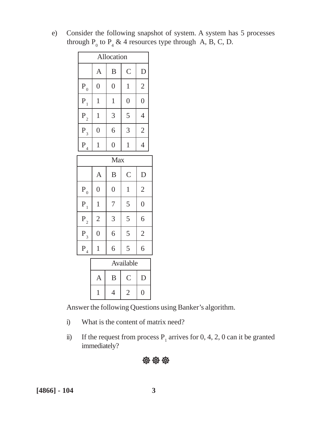e) Consider the following snapshot of system. A system has 5 processes through  $P_0$  to  $P_4 \& 4$  resources type through A, B, C, D.

| Allocation |                |                  |                |                |  |  |  |
|------------|----------------|------------------|----------------|----------------|--|--|--|
|            | $\overline{A}$ | $\bf{B}$         | $\mathsf{C}$   | D              |  |  |  |
| $P_0$      | $\overline{0}$ | $\boldsymbol{0}$ | $\mathbf{1}$   | $\overline{2}$ |  |  |  |
| $P_1$      | $\mathbf{1}$   | $\mathbf{1}$     | $\overline{0}$ | $\overline{0}$ |  |  |  |
| $P_{2}$    | $\mathbf{1}$   | $\mathfrak{Z}$   | 5              | $\overline{4}$ |  |  |  |
| $P_3$      | $\overline{0}$ | 6                | 3              | $\overline{c}$ |  |  |  |
| $P_4$      | $\mathbf{1}$   | $\overline{0}$   | $\mathbf{1}$   | $\overline{4}$ |  |  |  |
| Max        |                |                  |                |                |  |  |  |
|            | $\mathbf{A}$   | $\bf{B}$         | $\mathbf C$    | $\mathbf D$    |  |  |  |
| $P_0$      | $\overline{0}$ | $\overline{0}$   | $\mathbf{1}$   | $\overline{c}$ |  |  |  |
| $P_1$      | $\mathbf{1}$   | $\overline{7}$   | 5              | $\overline{0}$ |  |  |  |
| $P_2$      | $\overline{2}$ | 3                | 5              | 6              |  |  |  |
| $P_3$      | $\overline{0}$ | 6                | 5              | $\overline{c}$ |  |  |  |
| $P_4$      | $\mathbf{1}$   | $\overline{6}$   | 5              | $\overline{6}$ |  |  |  |
|            |                |                  | Available      |                |  |  |  |
|            |                |                  |                |                |  |  |  |

Answer the following Questions using Banker's algorithm.

i) What is the content of matrix need?

 $\begin{array}{|c|c|c|c|c|}\n\hline\n1 & 4 & 2 & 0\n\end{array}$ 

ii) If the request from process  $P_1$  arrives for 0, 4, 2, 0 can it be granted immediately?

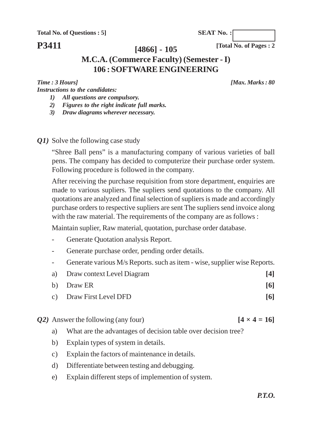Total No. of Questions : 5] SEAT No. :

**P3411**

**[4866] - 105**

**[Total No. of Pages : 2**

# **M.C.A. (Commerce Faculty) (Semester - I) 106 : SOFTWARE ENGINEERING**

*Time : 3 Hours] [Max. Marks : 80*

*Instructions to the candidates:*

- *1) All questions are compulsory.*
- *2) Figures to the right indicate full marks.*
- *3) Draw diagrams wherever necessary.*
- *Q1)* Solve the following case study

"Shree Ball pens" is a manufacturing company of various varieties of ball pens. The company has decided to computerize their purchase order system. Following procedure is followed in the company.

After receiving the purchase requisition from store department, enquiries are made to various supliers. The supliers send quotations to the company. All quotations are analyzed and final selection of supliers is made and accordingly purchase orders to respective supliers are sent The supliers send invoice along with the raw material. The requirements of the company are as follows :

Maintain suplier, Raw material, quotation, purchase order database.

- Generate Quotation analysis Report.
- Generate purchase order, pending order details.
- Generate various M/s Reports. such as item wise, supplier wise Reports.
- a) Draw context Level Diagram **[4]** b) Draw ER **[6]** c) Draw First Level DFD **[6]**

*Q2*) Answer the following (any four)  $[4 \times 4 = 16]$ 

- a) What are the advantages of decision table over decision tree?
- b) Explain types of system in details.
- c) Explain the factors of maintenance in details.
- d) Differentiate between testing and debugging.
- e) Explain different steps of implemention of system.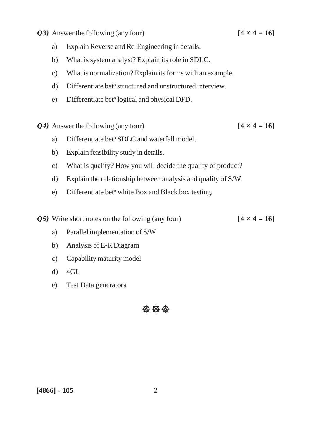- *Q3*) Answer the following (any four)  $[4 \times 4 = 16]$ 
	- a) Explain Reverse and Re-Engineering in details.
	- b) What is system analyst? Explain its role in SDLC.
	- c) What is normalization? Explain its forms with an example.
	- d) Differentiate bet<sup>n</sup> structured and unstructured interview.
	- e) Differentiate bet<sup>n</sup> logical and physical DFD.
- *Q4*) Answer the following (any four)  $[4 \times 4 = 16]$ 
	- a) Differentiate bet<sup>n</sup> SDLC and waterfall model.
	- b) Explain feasibility study in details.
	- c) What is quality? How you will decide the quality of product?
	- d) Explain the relationship between analysis and quality of S/W.
	- e) Differentiate bet<sup>n</sup> white Box and Black box testing.

*Q5*) Write short notes on the following (any four)  $[4 \times 4 = 16]$ 

- a) Parallel implementation of S/W
- b) Analysis of E-R Diagram
- c) Capability maturity model
- d) 4GL
- e) Test Data generators

**es es es** 

**[4866] - 105 2**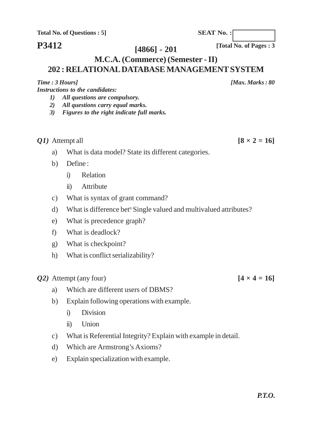Total No. of Questions : 5] SEAT No. :

# **P3412**

## **[4866] - 201**

# **M.C.A. (Commerce) (Semester - II)**

**202 : RELATIONAL DATABASE MANAGEMENT SYSTEM**

*Time : 3 Hours] [Max. Marks : 80*

*Instructions to the candidates:*

- *1) All questions are compulsory.*
- *2) All questions carry equal marks.*
- *3) Figures to the right indicate full marks.*

*Q1*) Attempt all  $[8 \times 2 = 16]$ 

- a) What is data model? State its different categories.
- b) Define :
	- i) Relation
	- ii) Attribute
- c) What is syntax of grant command?
- d) What is difference bet<sup>n</sup> Single valued and multivalued attributes?
- e) What is precedence graph?
- f) What is deadlock?
- g) What is checkpoint?
- h) What is conflict serializability?

*Q2*) Attempt (any four)  $[4 \times 4 = 16]$ 

- a) Which are different users of DBMS?
- b) Explain following operations with example.
	- i) Division
	- ii) Union
- c) What is Referential Integrity? Explain with example in detail.
- d) Which are Armstrong's Axioms?
- e) Explain specialization with example.

**[Total No. of Pages : 3**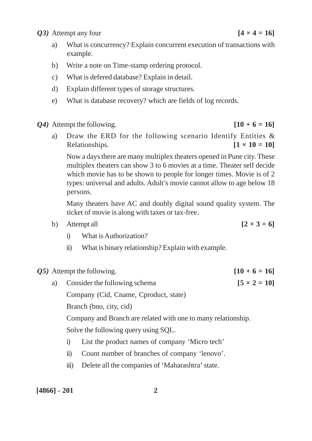- *Q3*) Attempt any four **[4**  $\times$  **4 = 16]** 
	- a) What is concurrency? Explain concurrent execution of transactions with example.
	- b) Write a note on Time-stamp ordering protocol.
	- c) What is defered database? Explain in detail.
	- d) Explain different types of storage structures.
	- e) What is database recovery? which are fields of log records.

 $Q_4$ ) Attempt the following. **[10 + 6 = 16]** 

a) Draw the ERD for the following scenario Identify Entities & Relationships.  $[1 \times 10 = 10]$ 

Now a days there are many multiplex theaters opened in Pune city. These multiplex theaters can show 3 to 6 movies at a time. Theater self decide which movie has to be shown to people for longer times. Movie is of 2 types: universal and adults. Adult's movie cannot allow to age below 18 persons.

Many theaters have AC and doubly digital sound quality system. The ticket of movie is along with taxes or tax-free.

b) Attempt all  $[2 \times 3 = 6]$ 

- i) What is Authorization?
- ii) What is binary relationship? Explain with example.

 $Q5$ ) Attempt the following. **[10 + 6 = 16]** a) Consider the following schema  $[5 \times 2 = 10]$ 

Company (Cid, Cname, Cproduct, state)

Branch (bno, city, cid)

Company and Branch are related with one to many relationship.

Solve the following query using SQL.

- i) List the product names of company 'Micro tech'
- ii) Count number of branches of company 'lenovo'.
- iii) Delete all the companies of 'Maharashtra' state.

**[4866] - 201 2**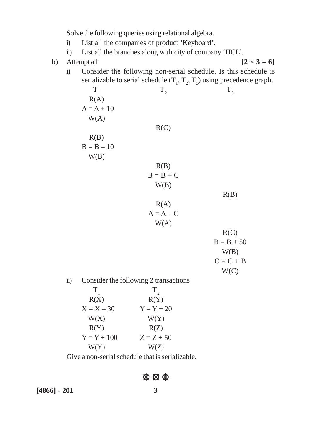Solve the following queries using relational algebra.

- i) List all the companies of product 'Keyboard'.
- ii) List all the branches along with city of company 'HCL'.

b) Attempt all  $[2 \times 3 = 6]$ i) Consider the following non-serial schedule. Is this schedule is serializable to serial schedule  $(T_1, T_2, T_3)$  using precedence graph.  $T_1$   $T_2$   $T_3$  $R(A)$  $A = A + 10$  $W(A)$  $R(C)$  $R(B)$  $B = B - 10$  $W(B)$  $R(B)$  $B = B + C$  $W(B)$  $R(B)$  $R(A)$  $A = A - C$  $W(A)$  $R(C)$  $B = B + 50$  $W(B)$  $C = C + B$  $W(C)$ ii) Consider the following 2 transactions  $T_1$   $T_2$  $R(X)$   $R(Y)$  $X = X - 30$   $Y = Y + 20$  $W(X)$   $W(Y)$  $R(Y)$   $R(Z)$  $Y = Y + 100$   $Z = Z + 50$  $W(Y)$   $W(Z)$ Give a non-serial schedule that is serializable.

DD DD DD

**[4866] - 201 3**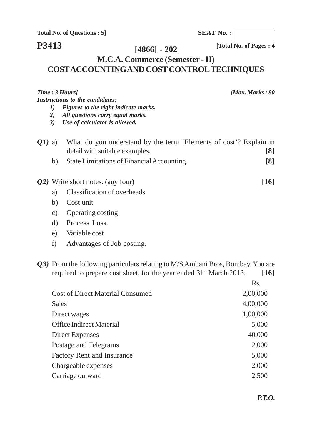Total No. of Questions : 5] SEAT No. :

**[Total No. of Pages : 4**

# **[4866] - 202 M.C.A. Commerce (Semester - II) COST ACCOUNTING AND COST CONTROL TECHNIQUES**

## *Time : 3 Hours] [Max. Marks : 80*

**P3413**

*Instructions to the candidates:*

- *1) Figures to the right indicate marks.*
- *2) All questions carry equal marks.*
- *3) Use of calculator is allowed.*

| $Q1$ a) | What do you understand by the term 'Elements of cost'? Explain in |                   |
|---------|-------------------------------------------------------------------|-------------------|
|         | detail with suitable examples.                                    | $\lceil 8 \rceil$ |

b) State Limitations of Financial Accounting. **[8]**

### *Q2)* Write short notes. (any four) **[16]**

- a) Classification of overheads.
- b) Cost unit
- c) Operating costing
- d) Process Loss.
- e) Variable cost
- f) Advantages of Job costing.
- *Q3)* From the following particulars relating to M/S Ambani Bros, Bombay. You are required to prepare cost sheet, for the year ended 31st March 2013. **[16]**

| Rs.      |
|----------|
| 2,00,000 |
| 4,00,000 |
| 1,00,000 |
| 5,000    |
| 40,000   |
| 2,000    |
| 5,000    |
| 2,000    |
| 2,500    |
|          |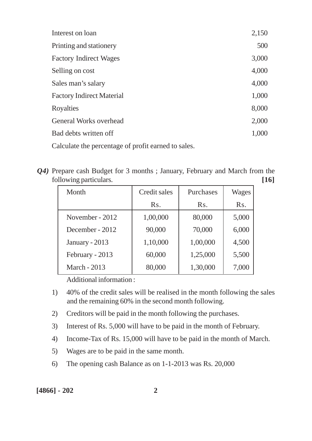| Interest on loan                                    | 2,150 |
|-----------------------------------------------------|-------|
| Printing and stationery                             | 500   |
| <b>Factory Indirect Wages</b>                       | 3,000 |
| Selling on cost                                     | 4,000 |
| Sales man's salary                                  | 4,000 |
| <b>Factory Indirect Material</b>                    | 1,000 |
| Royalties                                           | 8,000 |
| <b>General Works overhead</b>                       | 2,000 |
| Bad debts written off                               | 1,000 |
| Calculate the percentage of profit earned to sales. |       |

*Q4)* Prepare cash Budget for 3 months ; January, February and March from the following particulars. **[16]**

| Month               | Credit sales     | Purchases | <b>Wages</b> |
|---------------------|------------------|-----------|--------------|
|                     | R <sub>s</sub> . | Rs.       | Rs.          |
| November - 2012     | 1,00,000         | 80,000    | 5,000        |
| December - 2012     | 90,000           | 70,000    | 6,000        |
| January - 2013      | 1,10,000         | 1,00,000  | 4,500        |
| February - 2013     | 60,000           | 1,25,000  | 5,500        |
| <b>March - 2013</b> | 80,000           | 1,30,000  | 7,000        |

Additional information :

- 1) 40% of the credit sales will be realised in the month following the sales and the remaining 60% in the second month following.
- 2) Creditors will be paid in the month following the purchases.
- 3) Interest of Rs. 5,000 will have to be paid in the month of February.
- 4) Income-Tax of Rs. 15,000 will have to be paid in the month of March.
- 5) Wages are to be paid in the same month.
- 6) The opening cash Balance as on 1-1-2013 was Rs. 20,000

**[4866] - 202 2**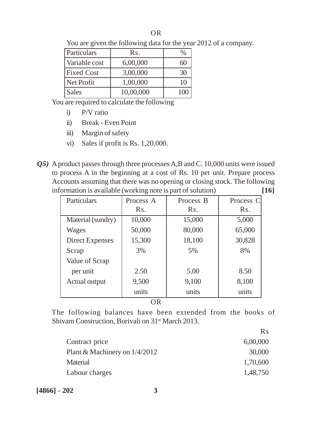You are given the following data for the year 2012 of a company.

| Particulars       | Rs.       | $\%$ |
|-------------------|-----------|------|
| Variable cost     | 6,00,000  | 61   |
| <b>Fixed Cost</b> | 3,00,000  | 30   |
| Net Profit        | 1,00,000  | 10   |
| <b>Sales</b>      | 10,00,000 |      |

You are required to calculate the following

- i) P/V ratio
- ii) Break Even Point
- iii) Margin of safety
- vi) Sales if profit is Rs. 1,20,000.
- *Q5)* A product passes through three processes A,B and C. 10,000 units were issued to process A in the beginning at a cost of Rs. 10 per unit. Prepare process Accounts assuming that there was no opening or closing stock. The following information is available (working note is part of solution) **[16]**

| Particulars            | Process A | Process B        | Process C |
|------------------------|-----------|------------------|-----------|
|                        | Rs.       | R <sub>s</sub> . | Rs.       |
| Material (sundry)      | 10,000    | 15,000           | 5,000     |
| Wages                  | 50,000    | 80,000           | 65,000    |
| <b>Direct Expenses</b> | 15,300    | 18,100           | 30,828    |
| Scrap                  | 3%        | 5%               | 8%        |
| Value of Scrap         |           |                  |           |
| per unit               | 2.50      | 5.00             | 8.50      |
| Actual output          | 9,500     | 9,100            | 8,100     |
|                        | units     | units            | units     |

OR

The following balances have been extended from the books of Shivam Construction, Borivali on 31<sup>st</sup> March 2013.

 $\mathbf{D}$   $\alpha$ 

|                                 | 13. O    |
|---------------------------------|----------|
| Contract price                  | 6,00,000 |
| Plant & Machinery on $1/4/2012$ | 30,000   |
| Material                        | 1,70,600 |
| Labour charges                  | 1,48,750 |

**[4866] - 202 3**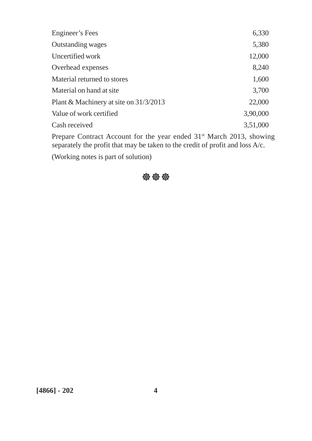| Engineer's Fees                        | 6,330    |
|----------------------------------------|----------|
| <b>Outstanding wages</b>               | 5,380    |
| Uncertified work                       | 12,000   |
| Overhead expenses                      | 8,240    |
| Material returned to stores            | 1,600    |
| Material on hand at site               | 3,700    |
| Plant & Machinery at site on 31/3/2013 | 22,000   |
| Value of work certified                | 3,90,000 |
| Cash received                          | 3,51,000 |

Prepare Contract Account for the year ended 31<sup>st</sup> March 2013, showing separately the profit that may be taken to the credit of profit and loss A/c.

(Working notes is part of solution)

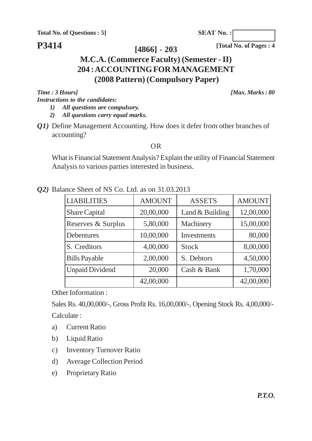Total No. of Questions : 5] SEAT No. :

**P3414**

**[4866] - 203**

**[Total No. of Pages : 4**

# **M.C.A. (Commerce Faculty) (Semester - II) 204 : ACCOUNTING FOR MANAGEMENT (2008 Pattern) (Compulsory Paper)**

*Time : 3 Hours] [Max. Marks : 80*

*Instructions to the candidates:*

*1) All questions are compulsory.*

*2) All questions carry equal marks.*

*Q1*) Define Management Accounting. How does it defer from other branches of accounting?

OR

What is Financial Statement Analysis? Explain the utility of Financial Statement Analysis to various parties interested in business.

## *Q2)* Balance Sheet of NS Co. Ltd. as on 31.03.2013

| <b>LIABILITIES</b>     | <b>AMOUNT</b> | <b>ASSETS</b>     | <b>AMOUNT</b> |
|------------------------|---------------|-------------------|---------------|
| <b>Share Capital</b>   | 20,00,000     | Land $&$ Building | 12,00,000     |
| Reserves & Surplus     | 5,80,000      | Machinery         | 15,00,000     |
| Debentures             | 10,00,000     | Investments       | 80,000        |
| S. Creditors           | 4,00,000      | <b>Stock</b>      | 8,00,000      |
| <b>Bills Payable</b>   | 2,00,000      | S. Debtors        | 4,50,000      |
| <b>Unpaid Dividend</b> | 20,000        | Cash & Bank       | 1,70,000      |
|                        | 42,00,000     |                   | 42,00,000     |

Other Information :

Sales Rs. 40,00,000/-, Gross Profit Rs. 16,00,000/-, Opening Stock Rs. 4,00,000/-

Calculate :

- a) Current Ratio
- b) Liquid Ratio
- c) Inventory Turnover Ratio
- d) Average Collection Period
- e) Proprietary Ratio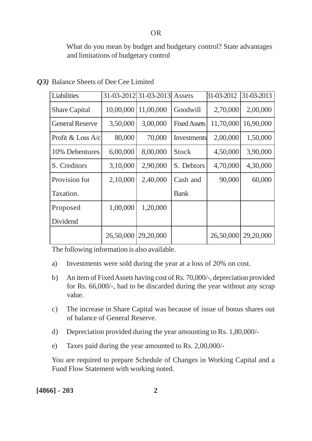What do you mean by budget and budgetary control? State advantages and limitations of budgetary control

| Liabilities            | 31-03-2012 | 31-03-2013 Assets |                     | 31-03-2012 | 31-03-2013 |
|------------------------|------------|-------------------|---------------------|------------|------------|
| <b>Share Capital</b>   | 10,00,000  | 11,00,000         | Goodwill            | 2,70,000   | 2,00,000   |
| <b>General Reserve</b> | 3,50,000   | 3,00,000          | <b>Fixed Assets</b> | 11,70,000  | 16,90,000  |
| Profit & Loss $A/c$    | 80,000     | 70,000            | <b>Investments</b>  | 2,00,000   | 1,50,000   |
| 10% Debentures         | 6,00,000   | 8,00,000          | <b>Stock</b>        | 4,50,000   | 3,90,000   |
| S. Creditors           | 3,10,000   | 2,90,000          | S. Debtors          | 4,70,000   | 4,30,000   |
| Provision for          | 2,10,000   | 2,40,000          | Cash and            | 90,000     | 60,000     |
| Taxation.              |            |                   | <b>Bank</b>         |            |            |
| Proposed               | 1,00,000   | 1,20,000          |                     |            |            |
| Dividend               |            |                   |                     |            |            |
|                        | 26,50,000  | 29,20,000         |                     | 26,50,000  | 29,20,000  |

#### *Q3)* Balance Sheets of Dee Cee Limited

The following information is also available.

- a) Investments were sold during the year at a loss of 20% on cost.
- b) An item of Fixed Assets having cost of Rs. 70,000/-, depreciation provided for Rs. 66,000/-, had to be discarded during the year without any scrap value.
- c) The increase in Share Capital was because of issue of bonus shares out of balance of General Reserve.
- d) Depreciation provided during the year amounting to Rs. 1,80,000/-
- e) Taxes paid during the year amounted to Rs. 2,00,000/-

You are required to prepare Schedule of Changes in Working Capital and a Fund Flow Statement with working noted.

**[4866] - 203 2**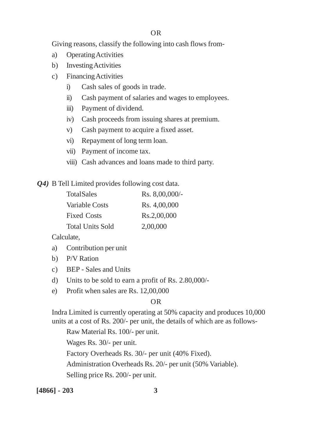OR

Giving reasons, classify the following into cash flows from-

- a) Operating Activities
- b) Investing Activities
- c) Financing Activities
	- i) Cash sales of goods in trade.
	- ii) Cash payment of salaries and wages to employees.
	- iii) Payment of dividend.
	- iv) Cash proceeds from issuing shares at premium.
	- v) Cash payment to acquire a fixed asset.
	- vi) Repayment of long term loan.
	- vii) Payment of income tax.
	- viii) Cash advances and loans made to third party.

*Q4)* B Tell Limited provides following cost data.

| <b>TotalSales</b>       | $Rs. 8,00,000/$ - |
|-------------------------|-------------------|
| Variable Costs          | Rs. 4,00,000      |
| <b>Fixed Costs</b>      | Rs.2,00,000       |
| <b>Total Units Sold</b> | 2,00,000          |

Calculate,

- a) Contribution per unit
- b) P/V Ration
- c) BEP Sales and Units
- d) Units to be sold to earn a profit of Rs. 2.80,000/-
- e) Profit when sales are Rs. 12,00,000

# OR

Indra Limited is currently operating at 50% capacity and produces 10,000 units at a cost of Rs. 200/- per unit, the details of which are as follows-

Raw Material Rs. 100/- per unit.

Wages Rs. 30/- per unit.

Factory Overheads Rs. 30/- per unit (40% Fixed).

Administration Overheads Rs. 20/- per unit (50% Variable).

Selling price Rs. 200/- per unit.

**[4866] - 203 3**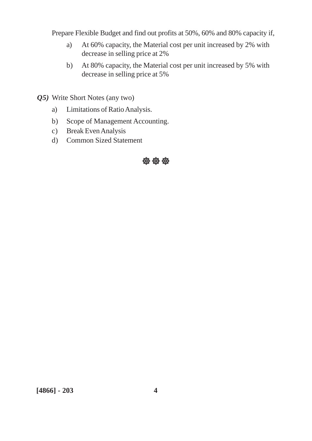Prepare Flexible Budget and find out profits at 50%, 60% and 80% capacity if,

- a) At 60% capacity, the Material cost per unit increased by 2% with decrease in selling price at 2%
- b) At 80% capacity, the Material cost per unit increased by 5% with decrease in selling price at 5%
- *Q5)* Write Short Notes (any two)
	- a) Limitations of Ratio Analysis.
	- b) Scope of Management Accounting.
	- c) Break Even Analysis
	- d) Common Sized Statement

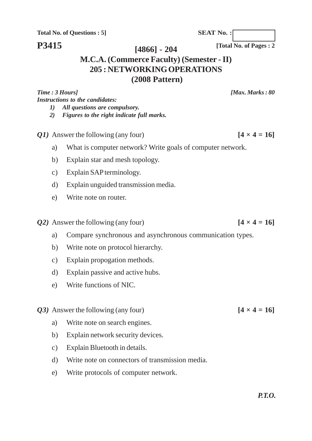Total No. of Questions : 5] SEAT No. :

# **P3415**

**[4866] - 204**

# **M.C.A. (Commerce Faculty) (Semester - II) 205 : NETWORKING OPERATIONS (2008 Pattern)**

*Time : 3 Hours] [Max. Marks : 80 Instructions to the candidates: 1) All questions are compulsory.*

*2) Figures to the right indicate full marks.*

*Q1*) Answer the following (any four)  $[4 \times 4 = 16]$ 

- a) What is computer network? Write goals of computer network.
- b) Explain star and mesh topology.
- c) Explain SAP terminology.
- d) Explain unguided transmission media.
- e) Write note on router.

*Q2*) Answer the following (any four)  $[4 \times 4 = 16]$ 

- a) Compare synchronous and asynchronous communication types.
- b) Write note on protocol hierarchy.
- c) Explain propogation methods.
- d) Explain passive and active hubs.
- e) Write functions of NIC.
- *Q3*) Answer the following (any four)  $[4 \times 4 = 16]$ 
	- a) Write note on search engines.
	- b) Explain network security devices.
	- c) Explain Bluetooth in details.
	- d) Write note on connectors of transmission media.
	- e) Write protocols of computer network.

*P.T.O.*

**[Total No. of Pages : 2**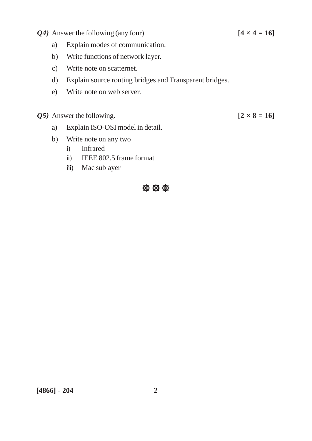- *Q4*) Answer the following (any four)  $[4 \times 4 = 16]$ 
	- a) Explain modes of communication.
	- b) Write functions of network layer.
	- c) Write note on scatternet.
	- d) Explain source routing bridges and Transparent bridges.
	- e) Write note on web server.
- *Q5*) Answer the following.  $[2 \times 8 = 16]$ 
	- a) Explain ISO-OSI model in detail.
	- b) Write note on any two
		- i) Infrared
		- ii) IEEE 802.5 frame format
		- iii) Mac sublayer

**BD BD BD**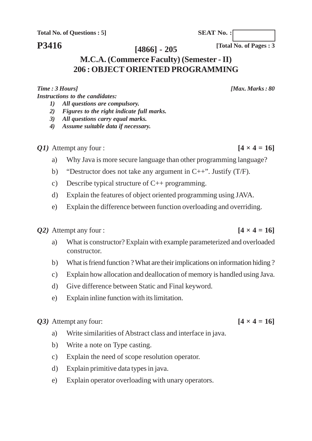Total No. of Questions : 5] SEAT No. :

**P3416**

**[4866] - 205**

**[Total No. of Pages : 3**

# **M.C.A. (Commerce Faculty) (Semester - II) 206 : OBJECT ORIENTED PROGRAMMING**

*Time : 3 Hours] [Max. Marks : 80*

*Instructions to the candidates:*

- *1) All questions are compulsory.*
- *2) Figures to the right indicate full marks.*
- *3) All questions carry equal marks.*
- *4) Assume suitable data if necessary.*
- *Q1*) Attempt any four :  $[4 \times 4 = 16]$ 
	- a) Why Java is more secure language than other programming language?
	- b) "Destructor does not take any argument in  $C++$ ". Justify (T/F).
	- c) Describe typical structure of C++ programming.
	- d) Explain the features of object oriented programming using JAVA.
	- e) Explain the difference between function overloading and overriding.
- *Q2*) Attempt any four : **[4 × 4 = 16]** 
	- a) What is constructor? Explain with example parameterized and overloaded constructor.
	- b) What is friend function ? What are their implications on information hiding ?
	- c) Explain how allocation and deallocation of memory is handled using Java.
	- d) Give difference between Static and Final keyword.
	- e) Explain inline function with its limitation.
- *Q3*) Attempt any four:  $[4 \times 4 = 16]$ 
	- a) Write similarities of Abstract class and interface in java.
	- b) Write a note on Type casting.
	- c) Explain the need of scope resolution operator.
	- d) Explain primitive data types in java.
	- e) Explain operator overloading with unary operators.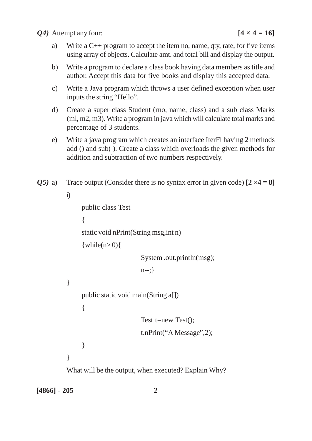*Q4*) Attempt any four: **[4 × 4 = 16]** 

- a) Write a C++ program to accept the item no, name, qty, rate, for five items using array of objects. Calculate amt. and total bill and display the output.
- b) Write a program to declare a class book having data members as title and author. Accept this data for five books and display this accepted data.
- c) Write a Java program which throws a user defined exception when user inputs the string "Hello".
- d) Create a super class Student (rno, name, class) and a sub class Marks (ml, m2, m3). Write a program in java which will calculate total marks and percentage of 3 students.
- e) Write a java program which creates an interface IterFl having 2 methods add () and sub( ). Create a class which overloads the given methods for addition and subtraction of two numbers respectively.
- *Q5)* a) Trace output (Consider there is no syntax error in given code) **[2 ×4 = 8]**

```
i)
```

```
public class Test
     {
     static void nPrint(String msg,int n)
     \{\text{while}(n>0)\}\System .out.println(msg);
                          n--;}}
     public static void main(String a[])
     {
                          Test t=new Test();
                          t.nPrint("A Message",2);
     }
}
What will be the output, when executed? Explain Why?
```
**[4866] - 205 2**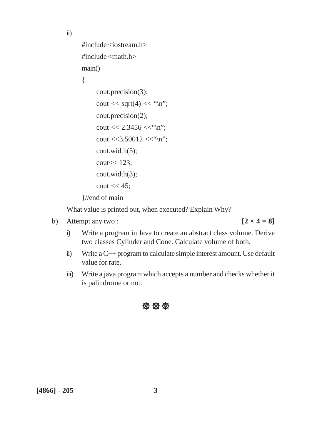```
#include <iostream.h>
\#include \ltmath.h>main()
    cout.precision(3);
    cout << sqrt(4) << "\n";
    cout.precision(2);
    cout << 2.3456 << 'n";
    cout <<3.50012 <<"\n";
    cout.width(5);
    cout<< 123;
    cout.width(3);
    cout << 45;
}//end of main
```
What value is printed out, when executed? Explain Why?

b) Attempt any two :  $[2 \times 4 = 8]$ 

ii)

{

- i) Write a program in Java to create an abstract class volume. Derive two classes Cylinder and Cone. Calculate volume of both.
- ii) Write a C++ program to calculate simple interest amount. Use default value for rate.
- iii) Write a java program which accepts a number and checks whether it is palindrome or not.

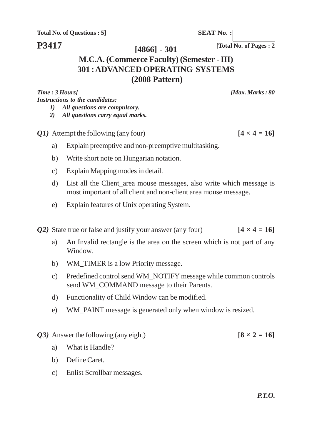Total No. of Questions : 5] SEAT No. :

**P3417**

**[4866] - 301**

# **M.C.A. (Commerce Faculty) (Semester - III) 301 : ADVANCED OPERATING SYSTEMS (2008 Pattern)**

*Time : 3 Hours] [Max. Marks : 80 Instructions to the candidates: 1) All questions are compulsory.*

*2) All questions carry equal marks.*

*Q1*) Attempt the following (any four)  $[4 \times 4 = 16]$ 

- a) Explain preemptive and non-preemptive multitasking.
- b) Write short note on Hungarian notation.
- c) Explain Mapping modes in detail.
- d) List all the Client\_area mouse messages, also write which message is most important of all client and non-client area mouse message.
- e) Explain features of Unix operating System.
- *Q2*) State true or false and justify your answer (any four)  $[4 \times 4 = 16]$ 
	- a) An Invalid rectangle is the area on the screen which is not part of any Window.
	- b) WM\_TIMER is a low Priority message.
	- c) Predefined control send WM\_NOTIFY message while common controls send WM\_COMMAND message to their Parents.
	- d) Functionality of Child Window can be modified.
	- e) WM\_PAINT message is generated only when window is resized.

#### *Q3*) Answer the following (any eight)  $[8 \times 2 = 16]$

- a) What is Handle?
- b) Define Caret.
- c) Enlist Scrollbar messages.

*P.T.O.*

**[Total No. of Pages : 2**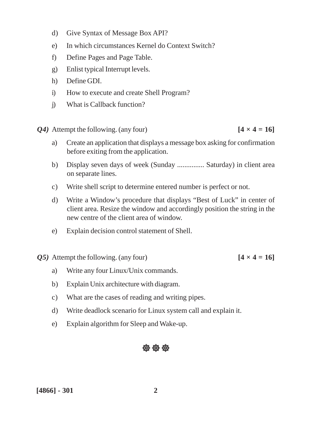- d) Give Syntax of Message Box API?
- e) In which circumstances Kernel do Context Switch?
- f) Define Pages and Page Table.
- g) Enlist typical Interrupt levels.
- h) Define GDI.
- i) How to execute and create Shell Program?
- j) What is Callback function?

*Q4*) Attempt the following. (any four)  $[4 \times 4 = 16]$ 

#### a) Create an application that displays a message box asking for confirmation before exiting from the application.

- b) Display seven days of week (Sunday ............... Saturday) in client area on separate lines.
- c) Write shell script to determine entered number is perfect or not.
- d) Write a Window's procedure that displays "Best of Luck" in center of client area. Resize the window and accordingly position the string in the new centre of the client area of window.
- e) Explain decision control statement of Shell.
- *Q5*) Attempt the following. (any four)  $[4 \times 4 = 16]$ 
	- a) Write any four Linux/Unix commands.
	- b) Explain Unix architecture with diagram.
	- c) What are the cases of reading and writing pipes.
	- d) Write deadlock scenario for Linux system call and explain it.
	- e) Explain algorithm for Sleep and Wake-up.

### RD-6RD-6RD

#### **[4866] - 301 2**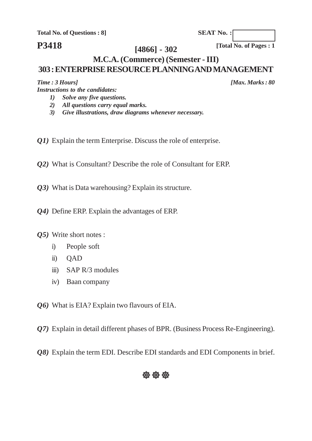Total No. of Questions : 8] SEAT No. :

# **P3418**

#### **[4866] - 302**

**[Total No. of Pages : 1**

**M.C.A. (Commerce) (Semester - III)**

# **303 : ENTERPRISE RESOURCE PLANNING AND MANAGEMENT**

*Time : 3 Hours] [Max. Marks : 80*

- *Instructions to the candidates:*
	- *1) Solve any five questions. 2) All questions carry equal marks.*
	- *3) Give illustrations, draw diagrams whenever necessary.*
- *Q1)* Explain the term Enterprise. Discuss the role of enterprise.
- *Q2)* What is Consultant? Describe the role of Consultant for ERP.
- *Q3)* What is Data warehousing? Explain its structure.
- *Q4)* Define ERP. Explain the advantages of ERP.
- *Q5)* Write short notes :
	- i) People soft
	- ii) QAD
	- iii) SAP R/3 modules
	- iv) Baan company
- *Q6)* What is EIA? Explain two flavours of EIA.
- *Q7)* Explain in detail different phases of BPR. (Business Process Re-Engineering).
- *Q8)* Explain the term EDI. Describe EDI standards and EDI Components in brief.

# PDA PDA PDA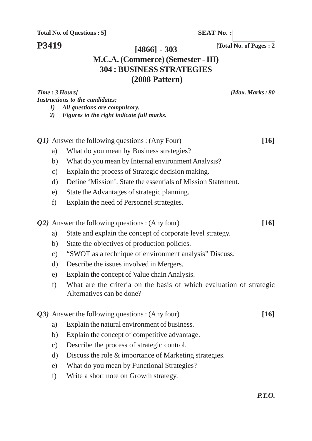Total No. of Questions : 5] SEAT No. :

**P3419**

**[4866] - 303**

**[Total No. of Pages : 2**

# **M.C.A. (Commerce) (Semester - III) 304 : BUSINESS STRATEGIES (2008 Pattern)**

*Time : 3 Hours] [Max. Marks : 80 Instructions to the candidates:*

*1) All questions are compulsory.*

*2) Figures to the right indicate full marks.*

*Q1)* Answer the following questions : (Any Four) **[16]**

- a) What do you mean by Business strategies?
- b) What do you mean by Internal environment Analysis?
- c) Explain the process of Strategic decision making.
- d) Define 'Mission'. State the essentials of Mission Statement.
- e) State the Advantages of strategic planning.
- f) Explain the need of Personnel strategies.

*Q2)* Answer the following questions : (Any four) **[16]**

a) State and explain the concept of corporate level strategy.

- b) State the objectives of production policies.
- c) "SWOT as a technique of environment analysis" Discuss.
- d) Describe the issues involved in Mergers.
- e) Explain the concept of Value chain Analysis.
- f) What are the criteria on the basis of which evaluation of strategic Alternatives can be done?

# *Q3)* Answer the following questions : (Any four) **[16]**

- a) Explain the natural environment of business.
- b) Explain the concept of competitive advantage.
- c) Describe the process of strategic control.
- d) Discuss the role & importance of Marketing strategies.
- e) What do you mean by Functional Strategies?
- f) Write a short note on Growth strategy.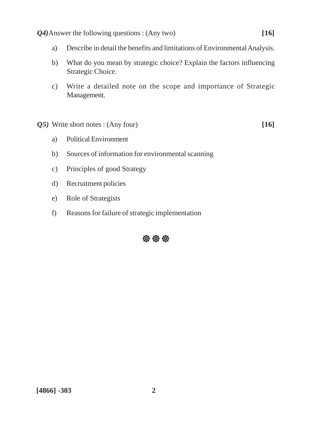*Q4)*Answer the following questions : (Any two) **[16]**

- a) Describe in detail the benefits and limitations of Environmental Analysis.
- b) What do you mean by strategic choice? Explain the factors influencing Strategic Choice.
- c) Write a detailed note on the scope and importance of Strategic Management.
- *Q5)* Write short notes : (Any four) **[16]**

- a) Political Environment
- b) Sources of information for environmental scanning
- c) Principles of good Strategy
- d) Recruitment policies
- e) Role of Strategists
- f) Reasons for failure of strategic implementation

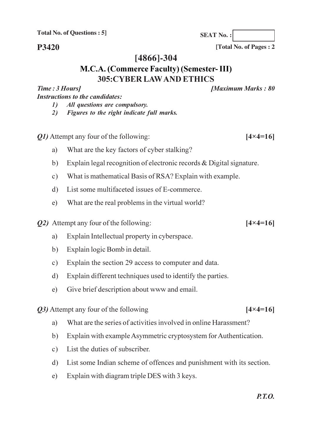**Total No. of Questions: 5]** 

**P3420** 

[Total No. of Pages: 2]

**SEAT No.:** 

# [4866]-304

# M.C.A. (Commerce Faculty) (Semester-III) **305: CYBER LAW AND ETHICS**

Time: 3 Hours]

**[Maximum Marks: 80** 

**Instructions to the candidates:** 

- All questions are compulsory.  $\mathbf{I}$
- $2)$ Figures to the right indicate full marks.

*Q1*) Attempt any four of the following:

- What are the key factors of cyber stalking? a)
- Explain legal recognition of electronic records & Digital signature.  $b)$
- What is mathematical Basis of RSA? Explain with example.  $c)$
- List some multifaceted issues of E-commerce.  $d)$
- What are the real problems in the virtual world?  $e)$

Q2) Attempt any four of the following:

- Explain Intellectual property in cyberspace. a)
- Explain logic Bomb in detail.  $b)$
- Explain the section 29 access to computer and data.  $c)$
- Explain different techniques used to identify the parties.  $\mathbf{d}$
- Give brief description about www and email. e)

03) Attempt any four of the following

- What are the series of activities involved in online Harassment? a)
- $b)$ Explain with example Asymmetric cryptosystem for Authentication.
- List the duties of subscriber.  $c)$
- List some Indian scheme of offences and punishment with its section.  $d)$
- Explain with diagram triple DES with 3 keys.  $e)$

 $[4 \times 4 = 16]$ 

 $[4 \times 4 = 16]$ 

 $[4 \times 4 = 16]$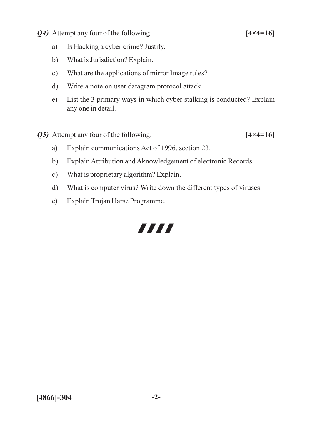- Q4) Attempt any four of the following
	- Is Hacking a cyber crime? Justify. a)
	- What is Jurisdiction? Explain.  $b)$
	- $c)$ What are the applications of mirror Image rules?
	- Write a note on user datagram protocol attack.  $\mathbf{d}$
	- List the 3 primary ways in which cyber stalking is conducted? Explain  $e)$ any one in detail.
- *O5*) Attempt any four of the following.

 $[4 \times 4 = 16]$ 

- Explain communications Act of 1996, section 23. a)
- Explain Attribution and Aknowledgement of electronic Records.  $b)$
- What is proprietary algorithm? Explain.  $c)$
- What is computer virus? Write down the different types of viruses.  $\mathbf{d}$
- Explain Trojan Harse Programme.  $e)$



# $[4 \times 4 = 16]$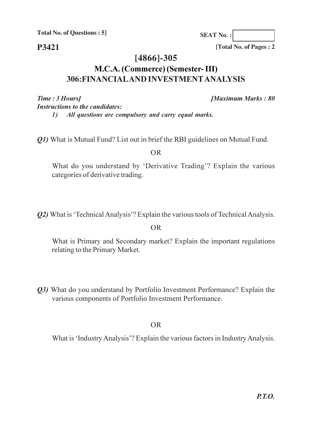**Total No. of Questions: 5]** 

P3421

[Total No. of Pages: 2]

**SEAT No.:** 

# [4866]-305 M.C.A. (Commerce) (Semester-III)

# **306: FINANCIAL AND INVESTMENT ANALYSIS**

Time: 3 Hours] [Maximum Marks: 80] **Instructions to the candidates:** 1) All questions are compulsory and carry equal marks.

*O1*) What is Mutual Fund? List out in brief the RBI guidelines on Mutual Fund.

 $OR$ 

What do you understand by 'Derivative Trading'? Explain the various categories of derivative trading.

*O2*) What is 'Technical Analysis'? Explain the various tools of Technical Analysis.

 $OR$ 

What is Primary and Secondary market? Explain the important regulations relating to the Primary Market.

*O3*) What do you understand by Portfolio Investment Performance? Explain the various components of Portfolio Investment Performance.

### $OR$

What is 'Industry Analysis'? Explain the various factors in Industry Analysis.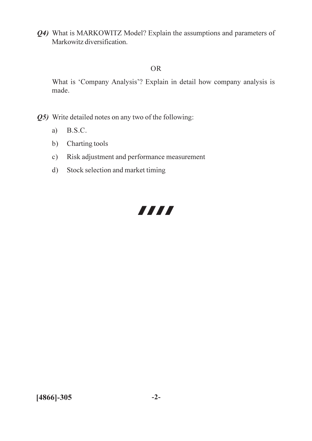Q4) What is MARKOWITZ Model? Explain the assumptions and parameters of Markowitz diversification.

## **OR**

What is 'Company Analysis'? Explain in detail how company analysis is made.

- Q5) Write detailed notes on any two of the following:
	- a)  $B.S.C.$
	- b) Charting tools
	- c) Risk adjustment and performance measurement
	- Stock selection and market timing  $d)$

# 1111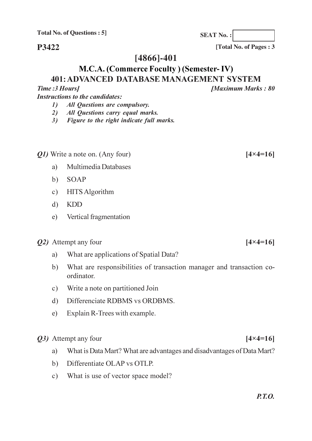**Total No. of Questions: 5]** 

P3422

[Total No. of Pages: 3

**[Maximum Marks: 80** 

**SEAT No.:** 

# $[4866] - 401$

# M.C.A. (Commerce Foculty) (Semester-IV) **401: ADVANCED DATABASE MANAGEMENT SYSTEM**

#### Time: 3 Hours]

**Instructions to the candidates:** 

- 1) All Questions are compulsory.
- All Ouestions carry equal marks.  $2)$
- Figure to the right indicate full marks.  $3)$

#### *O1*) Write a note on. (Any four)

- Multimedia Databases a)
- b) SOAP
- **HITS** Algorithm  $c)$
- $d)$ **KDD**
- e) Vertical fragmentation

### *Q2*) Attempt any four

- What are applications of Spatial Data? a)
- What are responsibilities of transaction manager and transaction co $b)$ ordinator.
- Write a note on partitioned Join  $c)$
- $\mathbf{d}$ Differenciate RDBMS vs ORDBMS.
- Explain R-Trees with example.  $e)$

*Q3* Attempt any four

- What is Data Mart? What are advantages and disadvantages of Data Mart? a)
- $b)$ Differentiate OLAP vs OTLP.
- What is use of vector space model?  $c)$

 $[4 \times 4 = 16]$ 

 $[4 \times 4 = 16]$ 

 $[4 \times 4 = 16]$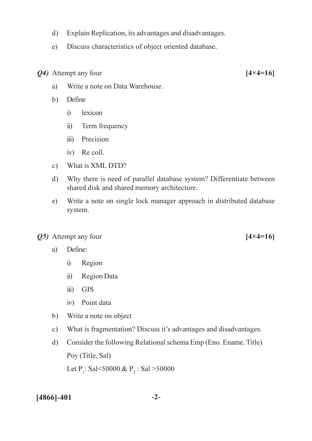- $\mathbf{d}$ Explain Replication, its advantages and disadvantages.
- Discuss characteristics of object oriented database.  $e)$
- Q4) Attempt any four
	- Write a note on Data Warehouse. a)
	- $b)$ Define
		- lexicon  $i)$
		- $\ddot{u}$ ) Term frequency
		- iii) Precision
		- iv) Re coll.
	- What is XML DTD?  $c)$
	- Why there is need of parallel database system? Differentiate between  $d)$ shared disk and shared memory architecture.
	- Write a note on single lock manager approach in distributed database  $e)$ system.
- Q5) Attempt any four
	- a) Define:
		- Region  $i)$
		- $\ddot{u}$ ) **Region Data**
		- iii) GIS
		- iv) Point data
	- Write a note on object  $b)$
	- $c)$ What is fragmentation? Discuss it's advantages and disadvantages.
	- Consider the following Relational schema Emp (Eno. Ename. Title)  $\mathbf{d}$ Poy (Title, Sal) Let P<sub>1</sub>: Sal<50000 & P<sub>2</sub>: Sal > 50000

### $[4866] - 401$

 $[4 \times 4 = 16]$ 

 $[4 \times 4 = 16]$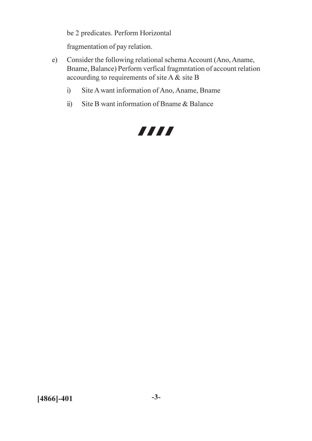be 2 predicates. Perform Horizontal

fragmentation of pay relation.

- Consider the following relational schema Account (Ano, Aname,  $e)$ Bname, Balance) Perform verfical fragmntation of account relation accourding to requirements of site A  $\&$  site B
	- Site A want information of Ano, Aname, Bname  $i)$
	- Site B want information of Bname & Balance  $\ddot{i}$ )

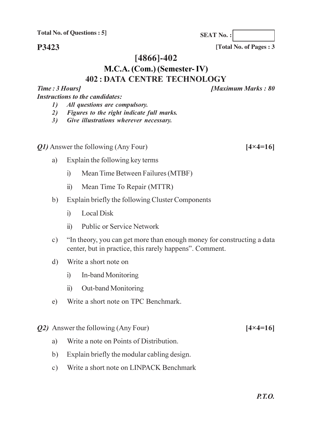**Total No. of Questions: 5]** 

[Total No. of Pages: 3

**SEAT No.:** 

P3423

# [4866]-402

M.C.A. (Com.) (Semester-IV)

**402: DATA CENTRE TECHNOLOGY** 

Time: 3 Hours]

**[Maximum Marks: 80** 

**Instructions to the candidates:** 

- 1) All questions are compulsory.
- Figures to the right indicate full marks.  $2)$
- Give illustrations wherever necessary.  $3)$

*O1*) Answer the following (Any Four)

- Explain the following key terms a)
	- Mean Time Between Failures (MTBF)  $i)$
	- Mean Time To Repair (MTTR)  $\ddot{i}$
- Explain briefly the following Cluster Components  $b)$ 
	- Local Disk  $i)$
	- **Public or Service Network**  $\ddot{u}$
- "In theory, you can get more than enough money for constructing a data  $c)$ center, but in practice, this rarely happens". Comment.
- Write a short note on  $\mathbf{d}$ 
	- In-band Monitoring  $i)$
	- $\ddot{1}$ Out-band Monitoring
- Write a short note on TPC Benchmark.  $e)$
- *Q2*) Answer the following (Any Four)
	- Write a note on Points of Distribution. a)
	- Explain briefly the modular cabling design.  $b)$
	- Write a short note on LINPACK Benchmark  $c)$

 $[4 \times 4 = 16]$ 

 $[4 \times 4 = 16]$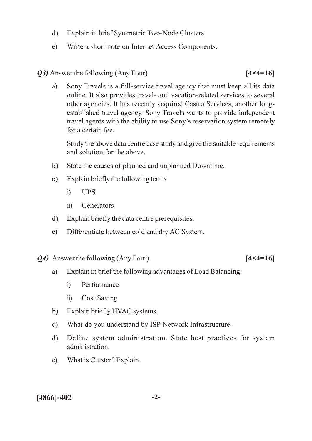- Explain in brief Symmetric Two-Node Clusters  $\mathbf{d}$
- $e)$ Write a short note on Internet Access Components.

Q3) Answer the following (Any Four)

Sony Travels is a full-service travel agency that must keep all its data a) online. It also provides travel- and vacation-related services to several other agencies. It has recently acquired Castro Services, another longestablished travel agency. Sony Travels wants to provide independent travel agents with the ability to use Sony's reservation system remotely for a certain fee.

Study the above data centre case study and give the suitable requirements and solution for the above.

- $b)$ State the causes of planned and unplanned Downtime.
- $c)$ Explain briefly the following terms
	- $\overline{1}$ **UPS**
	- Generators  $\ddot{u}$
- $\mathbf{d}$ Explain briefly the data centre prerequisites.
- $e)$ Differentiate between cold and dry AC System.
- *Q4*) Answer the following (Any Four)

 $[4 \times 4 = 16]$ 

 $[4 \times 4 = 16]$ 

- Explain in brief the following advantages of Load Balancing: a)
	- $\overline{1}$ Performance
	- **Cost Saving**  $\ddot{11}$
- Explain briefly HVAC systems.  $b)$
- What do you understand by ISP Network Infrastructure.  $c)$
- Define system administration. State best practices for system  $\mathbf{d}$ administration.
- What is Cluster? Explain.  $e)$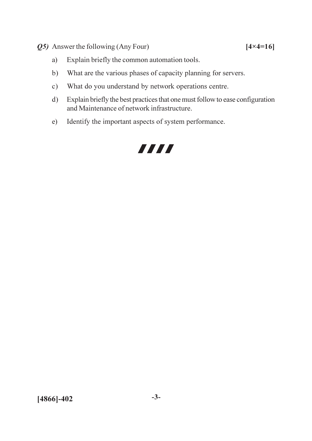Q5) Answer the following (Any Four)

- Explain briefly the common automation tools. a)
- What are the various phases of capacity planning for servers.  $b)$
- What do you understand by network operations centre.  $c)$
- Explain briefly the best practices that one must follow to ease configuration  $d)$ and Maintenance of network infrastructure.
- Identify the important aspects of system performance.  $e)$

# 1111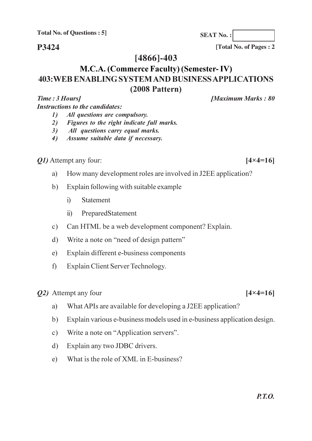**Total No. of Questions: 5]** 

P3424

[Total No. of Pages: 2]

[Maximum Marks: 80]

**SEAT No.:** 

# $[4866] - 403$

# M.C.A. (Commerce Faculty) (Semester-IV) **403: WEB ENABLING SYSTEM AND BUSINESS APPLICATIONS**  $(2008$  Pattern)

Time: 3 Hours] **Instructions to the candidates:** 

- All questions are compulsory.  $\mathbf{I}$
- 2) Figures to the right indicate full marks.
- All questions carry equal marks.  $3)$
- Assume suitable data if necessary. 4)

*O1*) Attempt any four:

- How many development roles are involved in J2EE application? a)
- Explain following with suitable example  $b)$ 
	- $i)$ **Statement**
	- $\ddot{u}$ PreparedStatement
- Can HTML be a web development component? Explain.  $c)$
- $\rm d)$ Write a note on "need of design pattern"
- Explain different e-business components  $e)$
- Explain Client Server Technology.  $\mathbf{f}$

Q2) Attempt any four

- What APIs are available for developing a J2EE application?  $a)$
- Explain various e-business models used in e-business application design.  $b)$
- Write a note on "Application servers".  $c)$
- $\mathbf{d}$ Explain any two JDBC drivers.
- What is the role of XML in E-business?  $e)$

 $P.T.O.$ 

 $[4 \times 4 = 16]$ 

$$
f_{\rm{max}}
$$

 $[4 \times 4 = 16]$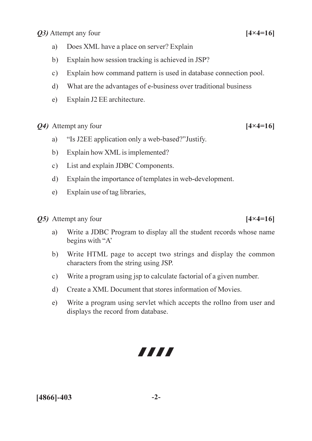Q3) Attempt any four

- Does XML have a place on server? Explain a)
- Explain how session tracking is achieved in JSP?  $b)$
- $c)$ Explain how command pattern is used in database connection pool.
- What are the advantages of e-business over traditional business  $d)$
- Explain J2 EE architecture.  $e)$

*Q4*) Attempt any four

- "Is J2EE application only a web-based?"Justify. a)
- Explain how XML is implemented?  $b)$
- List and explain JDBC Components.  $c)$
- Explain the importance of templates in web-development.  $d)$
- Explain use of tag libraries,  $(e)$

*Q5*) Attempt any four

- a) Write a JDBC Program to display all the student records whose name begins with "A"
- Write HTML page to accept two strings and display the common  $b)$ characters from the string using JSP.
- Write a program using jsp to calculate factorial of a given number.  $c)$
- Create a XML Document that stores information of Movies.  $\mathbf{d}$
- Write a program using servlet which accepts the rollno from user and  $e)$ displays the record from database.

# 7777

 $[4 \times 4 = 16]$ 

 $[4 \times 4 = 16]$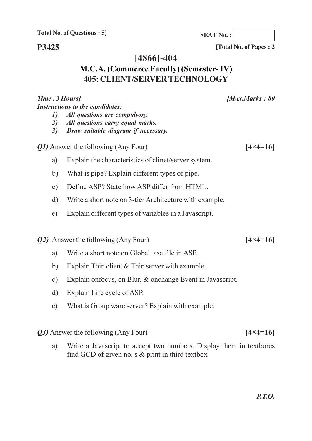P3425

[Total No. of Pages: 2]

# $[4866] - 404$

# M.C.A. (Commerce Faculty) (Semester-IV) **405: CLIENT/SERVER TECHNOLOGY**

Time: 3 Hours] **Instructions to the candidates:** All questions are compulsory.  $\mathbf{D}$ 2) All questions carry equal marks. Draw suitable diagram if necessary.  $3)$ *O1*) Answer the following (Any Four) Explain the characteristics of clinet/server system. a) What is pipe? Explain different types of pipe.  $b)$ Define ASP? State how ASP differ from HTML.  $c)$ Write a short note on 3-tier Architecture with example.  $\mathbf{d}$ ) Explain different types of variables in a Javascript.  $e)$ 

*Q2* Answer the following (Any Four)

- Write a short note on Global. as afile in ASP. a)
- Explain Thin client & Thin server with example.  $b)$
- $c)$ Explain onfocus, on Blur, & onchange Event in Javascript.
- Explain Life cycle of ASP.  $\mathbf{d}$
- $e)$ What is Group ware server? Explain with example.

Q3) Answer the following (Any Four)

a) Write a Javascript to accept two numbers. Display them in textbores find GCD of given no.  $s \&$  print in third textbox

 $P.T.O.$ 

 $[4 \times 4 = 16]$ 

[Max.Marks: 80]

 $[4 \times 4 = 16]$ 

 $[4 \times 4 = 16]$ 

**SEAT No.:**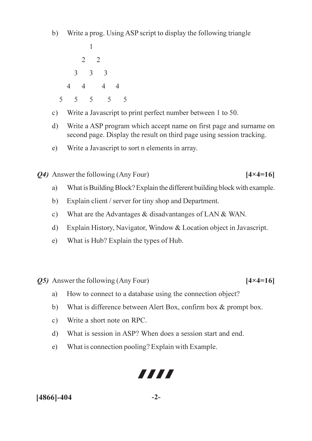- b) Write a prog. Using ASP script to display the following triangle
	- $\mathbf{1}$  $\overline{2}$ 2  $\overline{3}$  $3 \quad 3$  $\overline{4}$  $\overline{4}$  $\overline{4}$  $\overline{4}$  $\overline{5}$  $5\overline{)}$  $5 \quad 5$  $\mathfrak{S}$
- $c)$ Write a Javascript to print perfect number between 1 to 50.
- Write a ASP program which accept name on first page and surname on  $\mathbf{d}$ second page. Display the result on third page using session tracking.
- Write a Javascript to sort n elements in array.  $e)$

*O4*) Answer the following (Any Four)

 $a)$ What is Building Block? Explain the different building block with example.

 $[4 \times 4 = 16]$ 

 $[4 \times 4 = 16]$ 

- Explain client / server for tiny shop and Department.  $b)$
- $c)$ What are the Advantages & disadvantanges of LAN & WAN.
- Explain History, Navigator, Window & Location object in Javascript.  $\mathbf{d}$
- What is Hub? Explain the types of Hub.  $e)$

*Q5*) Answer the following (Any Four)

- How to connect to a database using the connection object? a)
- What is difference between Alert Box, confirm box & prompt box.  $b)$
- Write a short note on RPC.  $c)$
- What is session in ASP? When does a session start and end.  $\mathbf{d}$
- What is connection pooling? Explain with Example.  $e)$

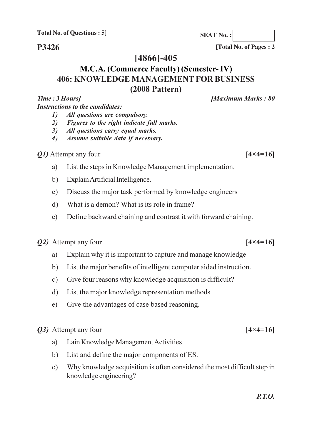**Total No. of Questions: 51** 

P3426

[Total No. of Pages: 2]

# $[4866] - 405$ M.C.A. (Commerce Faculty) (Semester-IV) **406: KNOWLEDGE MANAGEMENT FOR BUSINESS**  $(2008$  Pattern)

Time: 3 Hours] **Instructions to the candidates:** 

- All questions are compulsory.  $\mathbf{D}$
- 2) Figures to the right indicate full marks.
- All questions carry equal marks.  $3)$
- Assume suitable data if necessary. 4)

#### *O1*) Attempt any four

- List the steps in Knowledge Management implementation. a)
- b) Explain Artificial Intelligence.
- Discuss the major task performed by knowledge engineers  $c)$
- What is a demon? What is its role in frame?  $\mathbf{d}$
- Define backward chaining and contrast it with forward chaining.  $e)$

*Q2*) Attempt any four

- a) Explain why it is important to capture and manage knowledge
- List the major benefits of intelligent computer aided instruction.  $b)$
- Give four reasons why knowledge acquisition is difficult?  $c)$
- List the major knowledge representation methods  $d)$
- Give the advantages of case based reasoning.  $e)$

#### *Q3* Attempt any four

- Lain Knowledge Management Activities  $a)$
- List and define the major components of ES.  $b)$
- Why knowledge acquisition is often considered the most difficult step in  $c)$ knowledge engineering?

[Maximum Marks: 80

 $[4 \times 4 = 16]$ 

 $[4 \times 4 = 16]$ 

 $[4 \times 4 = 16]$ 

**SEAT No.:**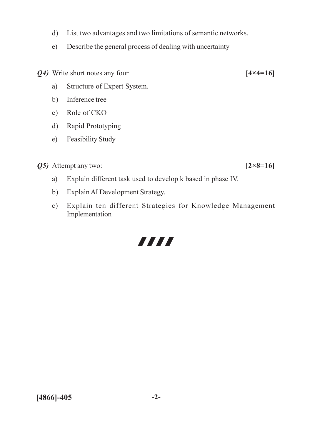- List two advantages and two limitations of semantic networks.  $\mathbf{d}$
- Describe the general process of dealing with uncertainty  $e)$
- Q4) Write short notes any four
	- Structure of Expert System. a)
	- b) Inference tree
	- c) Role of CKO
	- d) Rapid Prototyping
	- e) Feasibility Study

Q5) Attempt any two:

- Explain different task used to develop k based in phase IV.  $a)$
- Explain AI Development Strategy.  $b)$
- Explain ten different Strategies for Knowledge Management  $c)$ Implementation

# 7777

 $[4 \times 4 = 16]$ 

 $[2 \times 8 = 16]$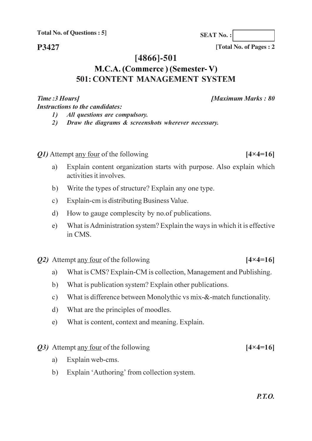P3427

[4866]-501

# M.C.A. (Commerce) (Semester-V) **501: CONTENT MANAGEMENT SYSTEM**

Time: 3 Hours] **Instructions to the candidates:** 

All questions are compulsory.  $\mathcal{D}$ 

2) Draw the diagrams & screenshots wherever necessary.

*O1*) Attempt any four of the following

- Explain content organization starts with purpose. Also explain which a) activities it involves
- Write the types of structure? Explain any one type.  $b)$
- Explain-cm is distributing Business Value.  $c)$
- How to gauge complescity by no. of publications.  $\mathbf{d}$
- What is Administration system? Explain the ways in which it is effective  $e)$ in CMS.

**Q2)** Attempt any four of the following

- What is CMS? Explain-CM is collection, Management and Publishing. a)
- What is publication system? Explain other publications.  $b)$
- What is difference between Monolythic vs mix-&-match functionality.  $c)$
- What are the principles of moodles.  $\mathbf{d}$
- What is content, context and meaning. Explain.  $e)$
- *O3*) Attempt any four of the following
	- Explain web-cms. a)
	- Explain 'Authoring' from collection system.  $b)$

 $P.T.O.$ 

 $[4 \times 4 = 16]$ 

 $[4 \times 4 = 16]$ 

 $[4 \times 4 = 16]$ 

**SEAT No.:** 

[Total No. of Pages: 2]

**Maximum Marks: 80**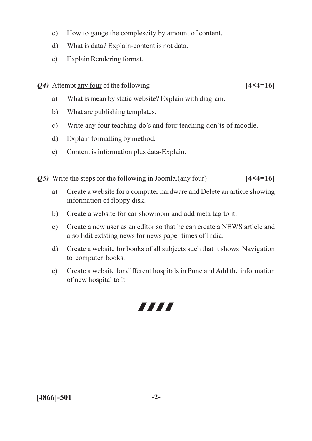- How to gauge the complescity by amount of content.  $c)$
- $\mathbf{d}$ What is data? Explain-content is not data.
- Explain Rendering format.  $(e)$

*Q4*) Attempt any four of the following

- What is mean by static website? Explain with diagram. a)
- What are publishing templates.  $b)$
- Write any four teaching do's and four teaching don'ts of moodle.  $c)$

 $[4 \times 4 = 16]$ 

- Explain formatting by method.  $\mathbf{d}$
- $e)$ Content is information plus data-Explain.
- $\overline{O5}$ ) Write the steps for the following in Joomla.(any four)  $[4 \times 4 = 16]$ 
	- a) Create a website for a computer hardware and Delete an article showing information of floppy disk.
	- Create a website for car showroom and add meta tag to it.  $b)$
	- Create a new user as an editor so that he can create a NEWS article and  $c)$ also Edit extsting news for news paper times of India.
	- $\mathbf{d}$ Create a website for books of all subjects such that it shows Navigation to computer books.
	- Create a website for different hospitals in Pune and Add the information  $e)$ of new hospital to it.

# 7777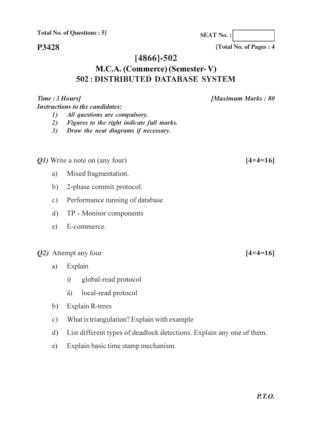## **P3428**

[4866]-502

# M.C.A. (Commerce) (Semester-V) 502: DISTRIBUTED DATABASE SYSTEM

Time: 3 Hours] **Instructions to the candidates:** 

- All questions are compulsory.  $\mathbf{I}$
- 2) Figures to the right indicate full marks.
- 3) Draw the neat diagrams if necessary.

*O1*) Write a note on (any four)

- Mixed fragmentation. a)
- b) 2-phase commit protocol.
- c) Performance tunning of database
- TP Monitor components  $\mathbf{d}$
- E-commerce.  $e)$

#### Q2) Attempt any four

- Explain a)
	- global-read protocol  $i)$
	- $\ddot{\text{1}}$ local-read protocol
- b) Explain R-trees
- What is triangulation? Explain with example  $c)$
- List different types of deadlock detections. Explain any one of them.  $\rm d)$
- Explain basic time stamp mechanism.  $e)$

[Total No. of Pages: 4]

**SEAT No.:** 

 $[4 \times 4 = 16]$ 

[Maximum Marks: 80]

 $[4 \times 4 = 16]$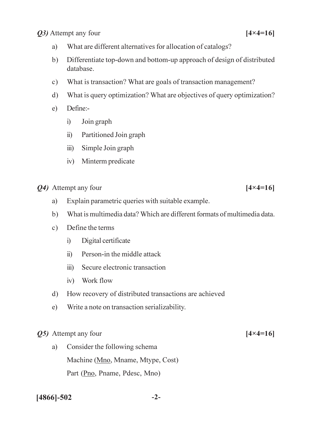Q3) Attempt any four

- What are different alternatives for allocation of catalogs? a)
- Differentiate top-down and bottom-up approach of design of distributed  $b)$ database.
- What is transaction? What are goals of transaction management?  $c)$
- What is query optimization? What are objectives of query optimization?  $\mathbf{d}$
- $e)$ Define:-
	- Join graph  $i)$
	- Partitioned Join graph  $\ddot{i}$ )
	- iii) Simple Join graph
	- iv) Minterm predicate
- Q4) Attempt any four
	- Explain parametric queries with suitable example. a)
	- What is multimedia data? Which are different formats of multimedia data.  $b)$
	- Define the terms  $c)$ 
		- Digital certificate  $i)$
		- Person-in the middle attack  $\ddot{u}$
		- iii) Secure electronic transaction
		- iv) Work flow
	- How recovery of distributed transactions are achieved  $\rm d)$
	- Write a note on transaction serializability.  $e)$

#### *O5*) Attempt any four

Consider the following schema  $a)$ Machine (Mno, Mname, Mtype, Cost) Part (Pno, Pname, Pdesc, Mno)

## $[4866] - 502$

#### $[4 \times 4 = 16]$

# $[4 \times 4 = 16]$

### $-2-$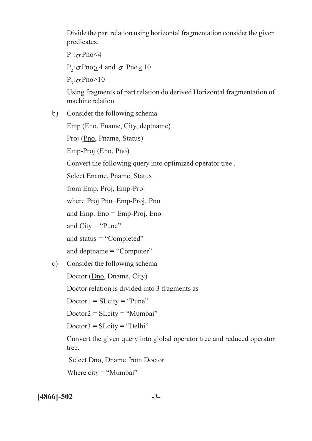Divide the part relation using horizontal fragmentation consider the given predicates.

 $P_i: \sigma$ Pno<4

 $P_2$ :  $\sigma$ Pno  $\geq$  4 and  $\sigma$  Pno  $\leq$  10

 $P_2$ :  $\sigma$ Pno>10

Using fragments of part relation do derived Horizontal fragmentation of machine relation.

b) Consider the following schema

Emp (Eno, Ename, City, deptname)

Proj (Pno, Pname, Status)

Emp-Proj (Eno, Pno)

Convert the following query into optimized operator tree.

Select Ename, Pname, Status

from Emp, Proj, Emp-Proj

where Proj.Pno=Emp-Proj. Pno

and Emp.  $Eno = Emp-Proj$ . Eno

and  $City = "Pune"$ 

and status  $=$  "Completed"

and deptname  $=$  "Computer"

Consider the following schema  $c)$ 

Doctor (Dno, Dname, City)

Doctor relation is divided into 3 fragments as

 $Doctor1 = SLcity = "Pune"$ 

 $Doctor2 = SLcity = "Mumbai"$ 

 $Doctor3 = SLcity = "Delhi"$ 

Convert the given query into global operator tree and reduced operator tree.

Select Dno, Dname from Doctor

Where  $city = "Mumbai"$ 

 $[4866] - 502$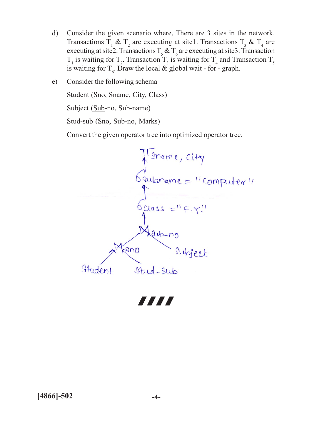- Consider the given scenario where, There are 3 sites in the network.  $\mathbf{d}$ Transactions T<sub>1</sub> & T<sub>2</sub> are executing at site1. Transactions T<sub>3</sub> & T<sub>4</sub> are executing at site2. Transactions  $T_s \& T_s$  are executing at site3. Transaction  $T_1$  is waiting for  $T_2$ . Transaction  $T_3$  is waiting for  $T_4$  and Transaction  $T_5$ is waiting for  $T_c$ . Draw the local & global wait - for - graph.
- Consider the following schema  $e)$

Student (Sno, Sname, City, Class)

Subject (Sub-no, Sub-name)

Stud-sub (Sno, Sub-no, Marks)

Convert the given operator tree into optimized operator tree.



,,,,,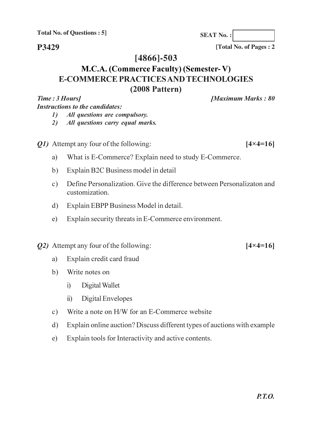**Total No. of Questions: 5]** 

P3429

[Total No. of Pages: 2]

**Maximum Marks: 80** 

# $[4866] - 503$

# M.C.A. (Commerce Faculty) (Semester-V) **E-COMMERCE PRACTICES AND TECHNOLOGIES**  $(2008$  Pattern)

Time: 3 Hours] **Instructions to the candidates:** 

- All questions are compulsory.  $\mathcal{D}$
- All questions carry equal marks. 2)

*Q1*) Attempt any four of the following:

- What is E-Commerce? Explain need to study E-Commerce. a)
- Explain B2C Business model in detail  $b)$
- Define Personalization. Give the difference between Personalizaton and  $c)$ customization
- Explain EBPP Business Model in detail.  $\mathbf{d}$
- Explain security threats in E-Commerce environment.  $e)$

*O2*) Attempt any four of the following:

- Explain credit card fraud a)
- $b)$ Write notes on
	- $i)$ Digital Wallet
	- Digital Envelopes  $\ddot{1}$
- Write a note on H/W for an E-Commerce website  $c)$
- Explain online auction? Discuss different types of auctions with example  $\mathbf{d}$ )
- Explain tools for Interactivity and active contents.  $e)$

 $[4 \times 4 = 16]$ 

 $[4 \times 4 = 16]$ 

**SEAT No.:**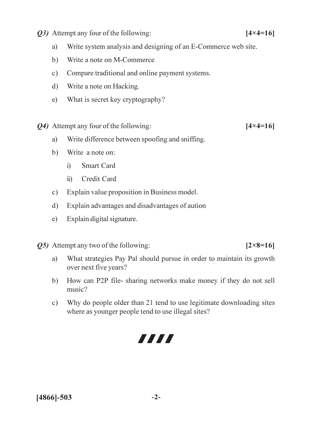- Q3) Attempt any four of the following:
	- Write system analysis and designing of an E-Commerce web site. a)
	- $b)$ Write a note on M-Commerce
	- $c)$ Compare traditional and online payment systems.
	- Write a note on Hacking.  $\mathbf{d}$
	- What is secret key cryptography?  $(e)$

*Q4*) Attempt any four of the following:

- a) Write difference between spoofing and sniffing.
- Write a note on:  $b)$ 
	- **Smart Card**  $i)$
	- $\ddot{i}$ Credit Card
- Explain value proposition in Business model.  $c)$
- Explain advantages and disadvantages of aution  $d)$
- Explain digital signature.  $e)$

*O5*) Attempt any two of the following:

- What strategies Pay Pal should pursue in order to maintain its growth a) over next five years?
- How can P2P file-sharing networks make money if they do not sell  $b)$ music?
- $c)$ Why do people older than 21 tend to use legitimate downloading sites where as younger people tend to use illegal sites?

# 7777

#### $[4 \times 4 = 16]$

 $[4 \times 4 = 16]$ 

 $[2 \times 8 = 16]$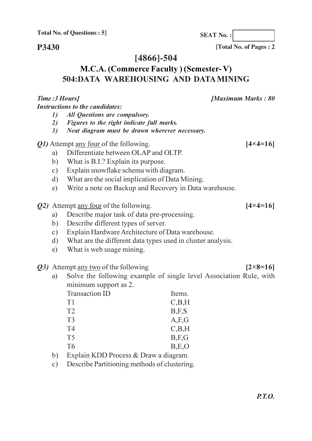**P3430** 

# $[4866] - 504$

# M.C.A. (Commerce Faculty) (Semester-V) 504: DATA WAREHOUSING AND DATA MINING

## Time: 3 Hours]

**Instructions to the candidates:** 

- **All Questions are compulsory.**  $\mathbf{D}$
- Figures to the right indicate full marks. 2)
- Neat diagram must be drawn wherever necessary.  $3)$

#### *Q1*) Attempt any four of the following.

- Differentiate between OLAP and OLTP. a)
- $b)$ What is B.I.? Explain its purpose.
- c) Explain snowflake schema with diagram.
- What are the social implication of Data Mining.  $\mathbf{d}$ )
- Write a note on Backup and Recovery in Data warehouse. e)
- *O2*) Attempt any four of the following.
	- a) Describe major task of data pre-processing.
	- Describe different types of server.  $b)$
	- $c)$ Explain Hardware Architecture of Data warehouse.
	- What are the different data types used in cluster analysis.  $\mathbf{d}$
	- $e)$ What is web usage mining.

#### **03)** Attempt any two of the following

Solve the following example of single level Association Rule, with a) minimum support as 2.

| Transaction ID | Items.  |
|----------------|---------|
| T <sub>1</sub> | C, B, H |
| T <sub>2</sub> | B.F.S   |
| T <sub>3</sub> | A, F, G |
| T <sub>4</sub> | C, B, H |
| T <sub>5</sub> | B.F.G   |
| T <sub>6</sub> | B,E,O   |

- Explain KDD Process & Draw a diagram.  $b)$
- c) Describe Partitioning methods of clustering.

[Total No. of Pages: 2]

**SEAT No.:** 

 $[4 \times 4 = 16]$ 

 $[4 \times 4 = 16]$ 

[Maximum Marks: 80]

 $[2 \times 8 = 16]$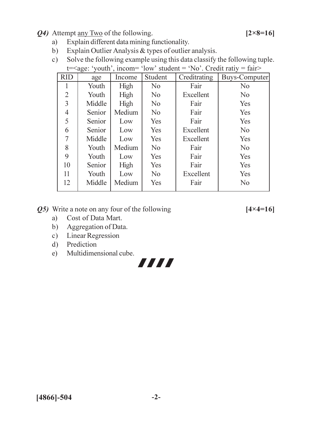Q4) Attempt any Two of the following.

Explain different data mining functionality. a)

- Explain Outlier Analysis & types of outlier analysis.  $b)$
- Solve the following example using this data classify the following tuple.  $c)$  $t = \text{age: 'youth', income 'low' student} = 'No'. Credit ratio = fair$

| <b>RID</b>     | age    | Income | Student        | Creditrating | Buys-Computer  |
|----------------|--------|--------|----------------|--------------|----------------|
| 1              | Youth  | High   | No             | Fair         | No             |
| $\overline{2}$ | Youth  | High   | No             | Excellent    | No             |
| 3              | Middle | High   | No             | Fair         | Yes            |
| $\overline{4}$ | Senior | Medium | No             | Fair         | Yes            |
| 5              | Senior | Low    | Yes            | Fair         | Yes            |
| 6              | Senior | Low    | Yes            | Excellent    | N <sub>o</sub> |
| 7              | Middle | Low    | Yes            | Excellent    | Yes            |
| 8              | Youth  | Medium | No             | Fair         | N <sub>o</sub> |
| 9              | Youth  | Low    | Yes            | Fair         | Yes            |
| 10             | Senior | High   | Yes            | Fair         | Yes            |
| 11             | Youth  | Low    | N <sub>o</sub> | Excellent    | Yes            |
| 12             | Middle | Medium | Yes            | Fair         | N <sub>o</sub> |

Q5) Write a note on any four of the following

 $[4 \times 4 = 16]$ 

- a) Cost of Data Mart.
- b) Aggregation of Data.
- c) Linear Regression
- Prediction  $\mathbf{d}$
- Multidimensional cube.  $e)$

 $[4866] - 504$ 

7777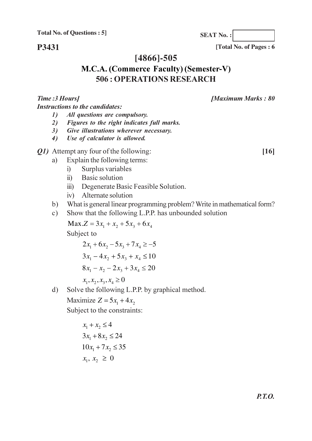**Total No. of Questions: 5]** 

P3431

[Total No. of Pages: 6]

# $[4866] - 505$ M.C.A. (Commerce Faculty) (Semester-V) 506 : OPERATIONS RESEARCH

Time: 3 Hours] **Instructions to the candidates:** 

- All questions are compulsory.  $\mathbf{I}$
- 2) Figures to the right indicates full marks.
- Give illustrations wherever necessary.  $3)$
- Use of calculator is allowed. 4)

#### *Q1*) Attempt any four of the following:

- Explain the following terms: a)
	- $i)$ Surplus variables
	- **Basic solution**  $\ddot{u}$
	- iii) Degenerate Basic Feasible Solution.
	- iv) Alternate solution
- b) What is general linear programming problem? Write in mathematical form?
- $c)$ Show that the following L.P.P. has unbounded solution

 $Max.Z = 3x_1 + x_2 + 5x_3 + 6x_4$ Subject to

$$
2x_1 + 6x_2 - 5x_3 + 7x_4 \ge -5
$$
  
\n
$$
3x_1 - 4x_2 + 5x_3 + x_4 \le 10
$$
  
\n
$$
8x_1 - x_2 - 2x_3 + 3x_4 \le 20
$$

 $x_1, x_2, x_3, x_4 \geq 0$ 

Solve the following L.P.P. by graphical method.  $\mathbf{d}$ 

Maximize  $Z = 5x_1 + 4x_2$ 

Subject to the constraints:

$$
x_1 + x_2 \le 4
$$
  
\n
$$
3x_1 + 8x_2 \le 24
$$
  
\n
$$
10x_1 + 7x_2 \le 35
$$
  
\n
$$
x_1, x_2 \ge 0
$$

[Maximum Marks: 80]

 $[16]$ 

**SEAT No.:**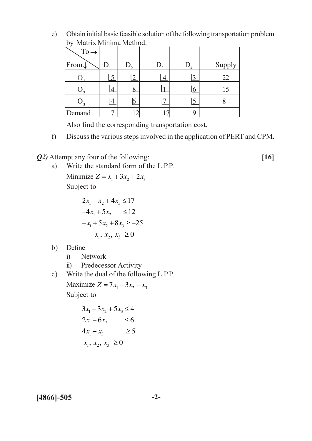Obtain initial basic feasible solution of the following transportation problem  $e)$ by Matrix Minima Method.

| ↖<br>$To -$       |                |   |   |        |
|-------------------|----------------|---|---|--------|
| From $\downarrow$ | L.             |   |   | Supply |
|                   |                | ◠ | 4 | 22     |
|                   | $\overline{4}$ | 8 |   | 15     |
|                   | $\overline{4}$ |   |   |        |
| Demand            |                |   |   |        |

Also find the corresponding transportation cost.

Discuss the various steps involved in the application of PERT and CPM. f)

 $[16]$ 

- Q2) Attempt any four of the following:
	- Write the standard form of the L.P.P. a)

Minimize  $Z = x_1 + 3x_2 + 2x_3$ Subject to

$$
2x_1 - x_2 + 4x_3 \le 17
$$
  
\n
$$
-4x_1 + 5x_2 \le 12
$$
  
\n
$$
-x_1 + 5x_2 + 8x_3 \ge -25
$$
  
\n
$$
x_1, x_2, x_3 \ge 0
$$

- $b)$ Define
	- $i)$ Network
	- ii) Predecessor Activity
- c) Write the dual of the following L.P.P.

Maximize  $Z = 7x_1 + 3x_2 - x_3$ Subject to

$$
3x1 - 3x2 + 5x3 \le 4 2x1 - 6x2 \le 6 4x1 - x3 \ge 5 x1, x2, x3 \ge 0
$$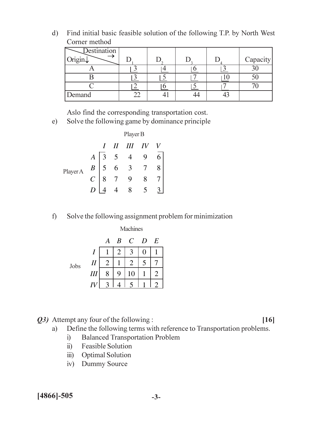Find initial basic feasible solution of the following T.P. by North West  $d)$ Corner method

| Destination<br>'Origin $\downarrow$ |  |  | Capacity |
|-------------------------------------|--|--|----------|
|                                     |  |  |          |
|                                     |  |  |          |
|                                     |  |  |          |
| Demand                              |  |  |          |

Aslo find the corresponding transportation cost.

Solve the following game by dominance principle  $e)$ 

|          | Player B |  |                                                                                                    |  |  |
|----------|----------|--|----------------------------------------------------------------------------------------------------|--|--|
|          |          |  |                                                                                                    |  |  |
| Player A |          |  | $\begin{array}{c ccccc}\nA & 3 & 5 & 4 & 9 \\ B & 5 & 6 & 3 & 7 \\ C & 8 & 7 & 9 & 8\n\end{array}$ |  |  |
|          |          |  |                                                                                                    |  |  |
|          |          |  |                                                                                                    |  |  |
|          |          |  | $4 \quad 8 \quad 5$                                                                                |  |  |

#### Solve the following assignment problem for minimization  $f$

Machines

|      |           | A | $\boldsymbol{B}$ | $\mathcal{C}$ | D | $E_{\rm}$ |
|------|-----------|---|------------------|---------------|---|-----------|
| Jobs | I         |   | 2                |               | O |           |
|      | $\it II$  |   |                  |               |   |           |
|      | $I\!I\!I$ | 8 | 9                | 10            |   |           |
|      | IV        |   |                  |               |   |           |

Q3) Attempt any four of the following :

 $[16]$ 

- Define the following terms with reference to Transportation problems. a)
	- **Balanced Transportation Problem**  $i)$
	- ii) Feasible Solution
	- iii) Optimal Solution
	- iv) Dummy Source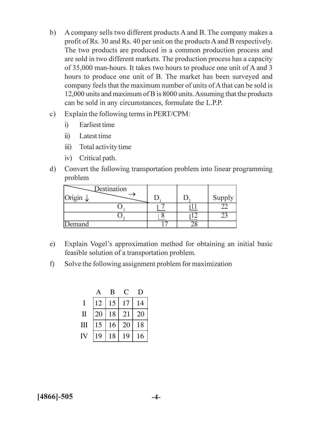- $b)$ A company sells two different products A and B. The company makes a profit of Rs. 30 and Rs. 40 per unit on the products A and B respectively. The two products are produced in a common production process and are sold in two different markets. The production process has a capacity of 35,000 man-hours. It takes two hours to produce one unit of A and 3 hours to produce one unit of B. The market has been surveyed and company feels that the maximum number of units of A that can be sold is 12,000 units and maximum of B is 8000 units. Assuming that the products can be sold in any circumstances, formulate the L.P.P.
- Explain the following terms in PERT/CPM:  $c)$ 
	- Earliest time  $i)$
	- $\ddot{\textbf{i}}$ Latest time
	- $\dddot{\mathbf{m}}$ Total activity time
	- iv) Critical path.
- $d)$ Convert the following transportation problem into linear programming problem

| Destination         |  |        |
|---------------------|--|--------|
| Origin $\downarrow$ |  | Supply |
|                     |  |        |
|                     |  |        |
| Demand              |  |        |

- $e)$ Explain Vogel's approximation method for obtaining an initial basic feasible solution of a transportation problem.
- Solve the following assignment problem for maximization  $f$

|    | A  | B  | ( ) |    |
|----|----|----|-----|----|
| I  | 12 | 15 | 17  | 14 |
| П  | 20 | 18 | 21  | 20 |
| Ш  | 15 | 16 | 20  | 18 |
| IV | 19 | 18 | 19  | 16 |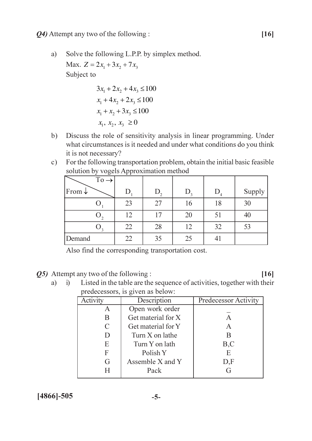Q4) Attempt any two of the following :

Solve the following L.P.P. by simplex method. a) Max.  $Z = 2x_1 + 3x_2 + 7x_3$ Subject to

$$
3x_1 + 2x_2 + 4x_3 \le 100
$$
  

$$
x_1 + 4x_2 + 2x_3 \le 100
$$
  

$$
x_1 + x_2 + 3x_3 \le 100
$$
  

$$
x_1, x_2, x_3 \ge 0
$$

- Discuss the role of sensitivity analysis in linear programming. Under  $b)$ what circumstances is it needed and under what conditions do you think it is not necessary?
- For the following transportation problem, obtain the initial basic feasible  $c)$ solution by vogels Approximation method

| $To \rightarrow$          |    |       |       |                |        |
|---------------------------|----|-------|-------|----------------|--------|
| $\mathsf{From}\downarrow$ | D  | $D_2$ | $D_3$ | $D_4$          | Supply |
|                           | 23 | 27    | 16    | 18             | 30     |
|                           | 12 | 17    | 20    | 51             | 40     |
|                           | 22 | 28    | 12    | 32             | 53     |
| Demand                    | 22 | 35    | 25    | 4 <sub>1</sub> |        |

Also find the corresponding transportation cost.

### Q5) Attempt any two of the following:

#### $[16]$

Listed in the table are the sequence of activities, together with their  $a)$  i) predecessors, is given as below:

| Activity | Description        | <b>Predecessor Activity</b> |
|----------|--------------------|-----------------------------|
|          | Open work order    |                             |
| B        | Get material for X |                             |
|          | Get material for Y | A                           |
|          | Turn X on lathe    | B                           |
| E        | Turn Y on lath     | B, C                        |
| F        | Polish Y           | E                           |
| G        | Assemble X and Y   | D,F                         |
|          | Pack               |                             |
|          |                    |                             |